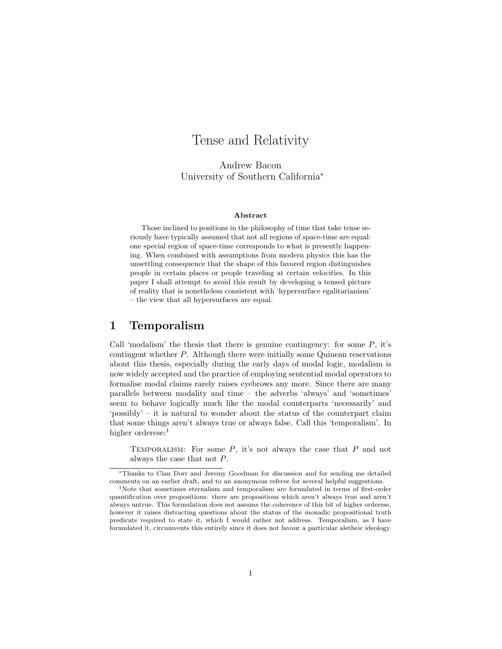# Tense and Relativity

Andrew Bacon University of Southern California<sup>∗</sup>

#### Abstract

Those inclined to positions in the philosophy of time that take tense seriously have typically assumed that not all regions of space-time are equal: one special region of space-time corresponds to what is presently happening. When combined with assumptions from modern physics this has the unsettling consequence that the shape of this favored region distinguishes people in certain places or people traveling at certain velocities. In this paper I shall attempt to avoid this result by developing a tensed picture of reality that is nonetheless consistent with 'hypersurface egalitarianism' – the view that all hypersurfaces are equal.

#### 1 Temporalism

Call 'modalism' the thesis that there is genuine contingency: for some  $P$ , it's contingent whether P. Although there were initially some Quinean reservations about this thesis, especially during the early days of modal logic, modalism is now widely accepted and the practice of employing sentential modal operators to formalise modal claims rarely raises eyebrows any more. Since there are many parallels between modality and time – the adverbs 'always' and 'sometimes' seem to behave logically much like the modal counterparts 'necessarily' and 'possibly' – it is natural to wonder about the status of the counterpart claim that some things aren't always true or always false. Call this 'temporalism'. In higher orderese:<sup>1</sup>

TEMPORALISM: For some  $P$ , it's not always the case that  $P$  and not always the case that not P.

<sup>∗</sup>Thanks to Cian Dorr and Jeremy Goodman for discussion and for sending me detailed comments on an earlier draft, and to an anonymous referee for several helpful suggestions.

<sup>&</sup>lt;sup>1</sup>Note that sometimes eternalism and temporalism are formulated in terms of first-order quantification over propositions: there are propositions which aren't always true and aren't always untrue. This formulation does not assume the coherence of this bit of higher orderese, however it raises distracting questions about the status of the monadic propositional truth predicate required to state it, which I would rather not address. Temporalism, as I have formulated it, circumvents this entirely since it does not favour a particular aletheic ideology.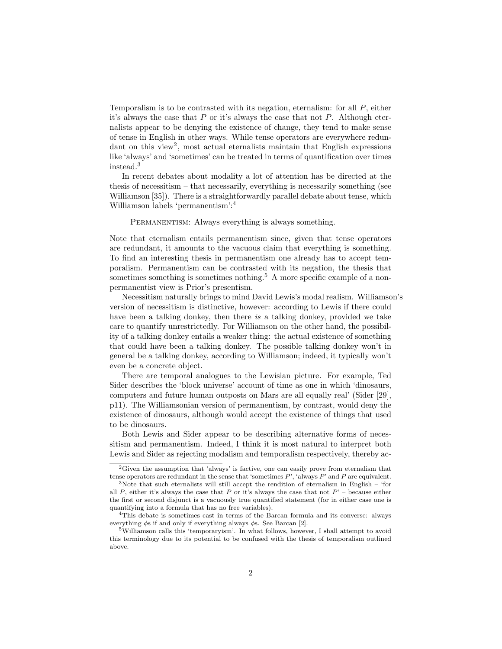Temporalism is to be contrasted with its negation, eternalism: for all P, either it's always the case that  $P$  or it's always the case that not  $P$ . Although eternalists appear to be denying the existence of change, they tend to make sense of tense in English in other ways. While tense operators are everywhere redundant on this view<sup>2</sup>, most actual eternalists maintain that English expressions like 'always' and 'sometimes' can be treated in terms of quantification over times instead.<sup>3</sup>

In recent debates about modality a lot of attention has be directed at the thesis of necessitism – that necessarily, everything is necessarily something (see Williamson [35]). There is a straightforwardly parallel debate about tense, which Williamson labels 'permanentism':<sup>4</sup>

PERMANENTISM: Always everything is always something.

Note that eternalism entails permanentism since, given that tense operators are redundant, it amounts to the vacuous claim that everything is something. To find an interesting thesis in permanentism one already has to accept temporalism. Permanentism can be contrasted with its negation, the thesis that sometimes something is sometimes nothing.<sup>5</sup> A more specific example of a nonpermanentist view is Prior's presentism.

Necessitism naturally brings to mind David Lewis's modal realism. Williamson's version of necessitism is distinctive, however: according to Lewis if there could have been a talking donkey, then there is a talking donkey, provided we take care to quantify unrestrictedly. For Williamson on the other hand, the possibility of a talking donkey entails a weaker thing: the actual existence of something that could have been a talking donkey. The possible talking donkey won't in general be a talking donkey, according to Williamson; indeed, it typically won't even be a concrete object.

There are temporal analogues to the Lewisian picture. For example, Ted Sider describes the 'block universe' account of time as one in which 'dinosaurs, computers and future human outposts on Mars are all equally real' (Sider [29], p11). The Williamsonian version of permanentism, by contrast, would deny the existence of dinosaurs, although would accept the existence of things that used to be dinosaurs.

Both Lewis and Sider appear to be describing alternative forms of necessitism and permanentism. Indeed, I think it is most natural to interpret both Lewis and Sider as rejecting modalism and temporalism respectively, thereby ac-

<sup>2</sup>Given the assumption that 'always' is factive, one can easily prove from eternalism that tense operators are redundant in the sense that 'sometimes  $P'$ , 'always  $P'$  and  $P$  are equivalent.

 $3$ Note that such eternalists will still accept the rendition of eternalism in English – 'for all  $P$ , either it's always the case that  $P$  or it's always the case that not  $P'$  – because either the first or second disjunct is a vacuously true quantified statement (for in either case one is quantifying into a formula that has no free variables).

<sup>4</sup>This debate is sometimes cast in terms of the Barcan formula and its converse: always everything  $\phi$ s if and only if everything always  $\phi$ s. See Barcan [2].

<sup>5</sup>Williamson calls this 'temporaryism'. In what follows, however, I shall attempt to avoid this terminology due to its potential to be confused with the thesis of temporalism outlined above.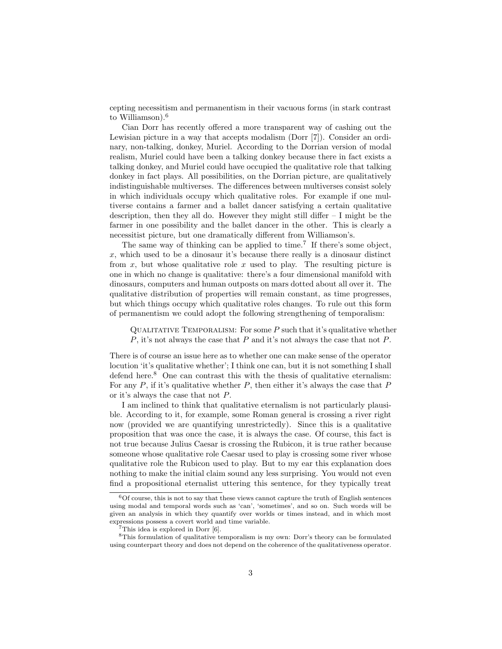cepting necessitism and permanentism in their vacuous forms (in stark contrast to Williamson).<sup>6</sup>

Cian Dorr has recently offered a more transparent way of cashing out the Lewisian picture in a way that accepts modalism (Dorr [7]). Consider an ordinary, non-talking, donkey, Muriel. According to the Dorrian version of modal realism, Muriel could have been a talking donkey because there in fact exists a talking donkey, and Muriel could have occupied the qualitative role that talking donkey in fact plays. All possibilities, on the Dorrian picture, are qualitatively indistinguishable multiverses. The differences between multiverses consist solely in which individuals occupy which qualitative roles. For example if one multiverse contains a farmer and a ballet dancer satisfying a certain qualitative description, then they all do. However they might still differ – I might be the farmer in one possibility and the ballet dancer in the other. This is clearly a necessitist picture, but one dramatically different from Williamson's.

The same way of thinking can be applied to time.<sup>7</sup> If there's some object,  $x$ , which used to be a dinosaur it's because there really is a dinosaur distinct from  $x$ , but whose qualitative role  $x$  used to play. The resulting picture is one in which no change is qualitative: there's a four dimensional manifold with dinosaurs, computers and human outposts on mars dotted about all over it. The qualitative distribution of properties will remain constant, as time progresses, but which things occupy which qualitative roles changes. To rule out this form of permanentism we could adopt the following strengthening of temporalism:

QUALITATIVE TEMPORALISM: For some  $P$  such that it's qualitative whether P, it's not always the case that P and it's not always the case that not P.

There is of course an issue here as to whether one can make sense of the operator locution 'it's qualitative whether'; I think one can, but it is not something I shall defend here.<sup>8</sup> One can contrast this with the thesis of qualitative eternalism: For any  $P$ , if it's qualitative whether  $P$ , then either it's always the case that  $P$ or it's always the case that not P.

I am inclined to think that qualitative eternalism is not particularly plausible. According to it, for example, some Roman general is crossing a river right now (provided we are quantifying unrestrictedly). Since this is a qualitative proposition that was once the case, it is always the case. Of course, this fact is not true because Julius Caesar is crossing the Rubicon, it is true rather because someone whose qualitative role Caesar used to play is crossing some river whose qualitative role the Rubicon used to play. But to my ear this explanation does nothing to make the initial claim sound any less surprising. You would not even find a propositional eternalist uttering this sentence, for they typically treat

 $6$ Of course, this is not to say that these views cannot capture the truth of English sentences using modal and temporal words such as 'can', 'sometimes', and so on. Such words will be given an analysis in which they quantify over worlds or times instead, and in which most expressions possess a covert world and time variable.

<sup>7</sup>This idea is explored in Dorr [6].

<sup>8</sup>This formulation of qualitative temporalism is my own: Dorr's theory can be formulated using counterpart theory and does not depend on the coherence of the qualitativeness operator.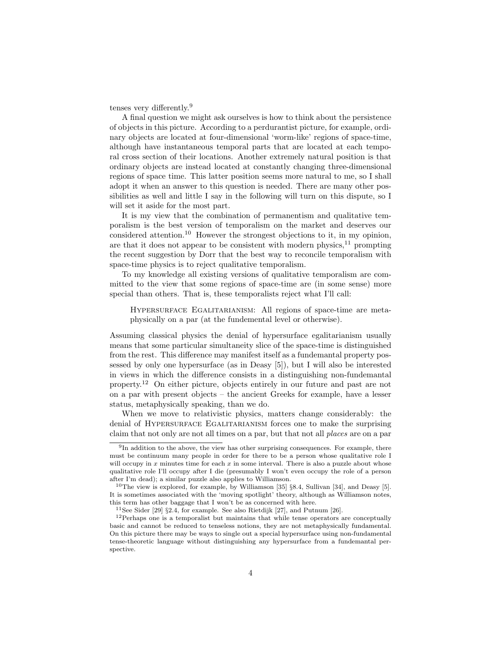tenses very differently.<sup>9</sup>

A final question we might ask ourselves is how to think about the persistence of objects in this picture. According to a perdurantist picture, for example, ordinary objects are located at four-dimensional 'worm-like' regions of space-time, although have instantaneous temporal parts that are located at each temporal cross section of their locations. Another extremely natural position is that ordinary objects are instead located at constantly changing three-dimensional regions of space time. This latter position seems more natural to me, so I shall adopt it when an answer to this question is needed. There are many other possibilities as well and little I say in the following will turn on this dispute, so I will set it aside for the most part.

It is my view that the combination of permanentism and qualitative temporalism is the best version of temporalism on the market and deserves our considered attention.<sup>10</sup> However the strongest objections to it, in my opinion, are that it does not appear to be consistent with modern physics,  $11$  prompting the recent suggestion by Dorr that the best way to reconcile temporalism with space-time physics is to reject qualitative temporalism.

To my knowledge all existing versions of qualitative temporalism are committed to the view that some regions of space-time are (in some sense) more special than others. That is, these temporalists reject what I'll call:

Hypersurface Egalitarianism: All regions of space-time are metaphysically on a par (at the fundemental level or otherwise).

Assuming classical physics the denial of hypersurface egalitarianism usually means that some particular simultaneity slice of the space-time is distinguished from the rest. This difference may manifest itself as a fundemantal property possessed by only one hypersurface (as in Deasy [5]), but I will also be interested in views in which the difference consists in a distinguishing non-fundemantal property.<sup>12</sup> On either picture, objects entirely in our future and past are not on a par with present objects – the ancient Greeks for example, have a lesser status, metaphysically speaking, than we do.

When we move to relativistic physics, matters change considerably: the denial of HYPERSURFACE EGALITARIANISM forces one to make the surprising claim that not only are not all times on a par, but that not all places are on a par

<sup>&</sup>lt;sup>9</sup>In addition to the above, the view has other surprising consequences. For example, there must be continuum many people in order for there to be a person whose qualitative role I will occupy in  $x$  minutes time for each  $x$  in some interval. There is also a puzzle about whose qualitative role I'll occupy after I die (presumably I won't even occupy the role of a person after I'm dead); a similar puzzle also applies to Williamson.

<sup>&</sup>lt;sup>10</sup>The view is explored, for example, by Williamson [35] §8.4, Sullivan [34], and Deasy [5]. It is sometimes associated with the 'moving spotlight' theory, although as Williamson notes, this term has other baggage that I won't be as concerned with here.

<sup>&</sup>lt;sup>11</sup>See Sider [29]  $\S 2.4$ , for example. See also Rietdijk [27], and Putnum [26].

<sup>12</sup>Perhaps one is a temporalist but maintains that while tense operators are conceptually basic and cannot be reduced to tenseless notions, they are not metaphysically fundamental. On this picture there may be ways to single out a special hypersurface using non-fundamental tense-theoretic language without distinguishing any hypersurface from a fundemantal perspective.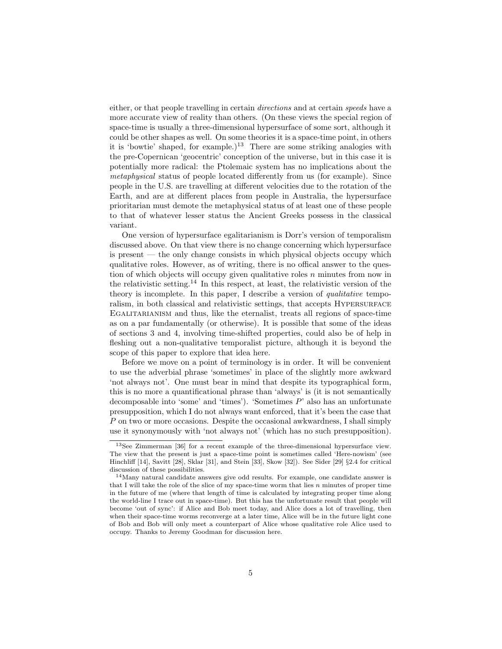either, or that people travelling in certain directions and at certain speeds have a more accurate view of reality than others. (On these views the special region of space-time is usually a three-dimensional hypersurface of some sort, although it could be other shapes as well. On some theories it is a space-time point, in others it is 'bowtie' shaped, for example.)<sup>13</sup> There are some striking analogies with the pre-Copernican 'geocentric' conception of the universe, but in this case it is potentially more radical: the Ptolemaic system has no implications about the metaphysical status of people located differently from us (for example). Since people in the U.S. are travelling at different velocities due to the rotation of the Earth, and are at different places from people in Australia, the hypersurface prioritarian must demote the metaphysical status of at least one of these people to that of whatever lesser status the Ancient Greeks possess in the classical variant.

One version of hypersurface egalitarianism is Dorr's version of temporalism discussed above. On that view there is no change concerning which hypersurface is present — the only change consists in which physical objects occupy which qualitative roles. However, as of writing, there is no offical answer to the question of which objects will occupy given qualitative roles  $n$  minutes from now in the relativistic setting.<sup>14</sup> In this respect, at least, the relativistic version of the theory is incomplete. In this paper, I describe a version of qualitative temporalism, in both classical and relativistic settings, that accepts Hypersurface Egalitarianism and thus, like the eternalist, treats all regions of space-time as on a par fundamentally (or otherwise). It is possible that some of the ideas of sections 3 and 4, involving time-shifted properties, could also be of help in fleshing out a non-qualitative temporalist picture, although it is beyond the scope of this paper to explore that idea here.

Before we move on a point of terminology is in order. It will be convenient to use the adverbial phrase 'sometimes' in place of the slightly more awkward 'not always not'. One must bear in mind that despite its typographical form, this is no more a quantificational phrase than 'always' is (it is not semantically decomposable into 'some' and 'times'). 'Sometimes  $P$ ' also has an unfortunate presupposition, which I do not always want enforced, that it's been the case that P on two or more occasions. Despite the occasional awkwardness, I shall simply use it synonymously with 'not always not' (which has no such presupposition).

<sup>13</sup>See Zimmerman [36] for a recent example of the three-dimensional hypersurface view. The view that the present is just a space-time point is sometimes called 'Here-nowism' (see Hinchliff [14], Savitt [28], Sklar [31], and Stein [33], Skow [32]). See Sider [29] §2.4 for critical discussion of these possibilities.

<sup>&</sup>lt;sup>14</sup>Many natural candidate answers give odd results. For example, one candidate answer is that I will take the role of the slice of my space-time worm that lies  $n$  minutes of proper time in the future of me (where that length of time is calculated by integrating proper time along the world-line I trace out in space-time). But this has the unfortunate result that people will become 'out of sync': if Alice and Bob meet today, and Alice does a lot of travelling, then when their space-time worms reconverge at a later time, Alice will be in the future light cone of Bob and Bob will only meet a counterpart of Alice whose qualitative role Alice used to occupy. Thanks to Jeremy Goodman for discussion here.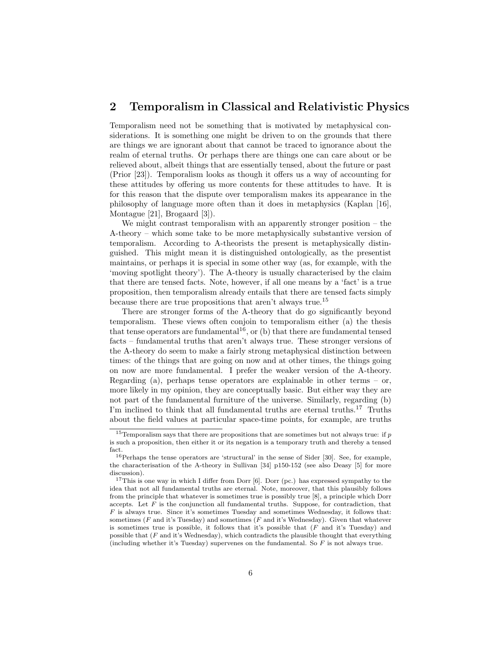### 2 Temporalism in Classical and Relativistic Physics

Temporalism need not be something that is motivated by metaphysical considerations. It is something one might be driven to on the grounds that there are things we are ignorant about that cannot be traced to ignorance about the realm of eternal truths. Or perhaps there are things one can care about or be relieved about, albeit things that are essentially tensed, about the future or past (Prior [23]). Temporalism looks as though it offers us a way of accounting for these attitudes by offering us more contents for these attitudes to have. It is for this reason that the dispute over temporalism makes its appearance in the philosophy of language more often than it does in metaphysics (Kaplan [16], Montague [21], Brogaard [3]).

We might contrast temporalism with an apparently stronger position – the A-theory – which some take to be more metaphysically substantive version of temporalism. According to A-theorists the present is metaphysically distinguished. This might mean it is distinguished ontologically, as the presentist maintains, or perhaps it is special in some other way (as, for example, with the 'moving spotlight theory'). The A-theory is usually characterised by the claim that there are tensed facts. Note, however, if all one means by a 'fact' is a true proposition, then temporalism already entails that there are tensed facts simply because there are true propositions that aren't always true.<sup>15</sup>

There are stronger forms of the A-theory that do go significantly beyond temporalism. These views often conjoin to temporalism either (a) the thesis that tense operators are fundamental<sup>16</sup>, or (b) that there are fundamental tensed facts – fundamental truths that aren't always true. These stronger versions of the A-theory do seem to make a fairly strong metaphysical distinction between times: of the things that are going on now and at other times, the things going on now are more fundamental. I prefer the weaker version of the A-theory. Regarding (a), perhaps tense operators are explainable in other terms – or, more likely in my opinion, they are conceptually basic. But either way they are not part of the fundamental furniture of the universe. Similarly, regarding (b) I'm inclined to think that all fundamental truths are eternal truths.<sup>17</sup> Truths about the field values at particular space-time points, for example, are truths

<sup>&</sup>lt;sup>15</sup>Temporalism says that there are propositions that are sometimes but not always true: if  $p$ is such a proposition, then either it or its negation is a temporary truth and thereby a tensed fact.

<sup>16</sup>Perhaps the tense operators are 'structural' in the sense of Sider [30]. See, for example, the characterisation of the A-theory in Sullivan [34] p150-152 (see also Deasy [5] for more discussion).

<sup>&</sup>lt;sup>17</sup>This is one way in which I differ from Dorr [6]. Dorr (pc.) has expressed sympathy to the idea that not all fundamental truths are eternal. Note, moreover, that this plausibly follows from the principle that whatever is sometimes true is possibly true [8], a principle which Dorr accepts. Let  $F$  is the conjunction all fundamental truths. Suppose, for contradiction, that  $F$  is always true. Since it's sometimes Tuesday and sometimes Wednesday, it follows that: sometimes  $(F \text{ and it's Tuesday})$  and sometimes  $(F \text{ and it's Wednesday})$ . Given that whatever is sometimes true is possible, it follows that it's possible that  $(F$  and it's Tuesday) and possible that  $(F \text{ and it's Wednesday})$ , which contradicts the plausible thought that everything (including whether it's Tuesday) supervenes on the fundamental. So  $F$  is not always true.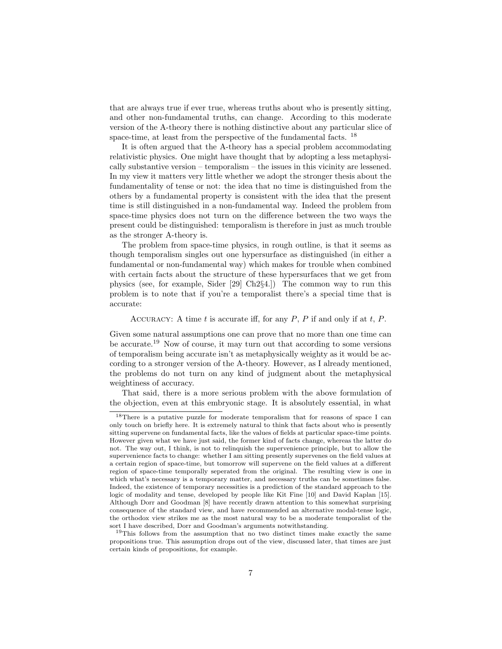that are always true if ever true, whereas truths about who is presently sitting, and other non-fundamental truths, can change. According to this moderate version of the A-theory there is nothing distinctive about any particular slice of space-time, at least from the perspective of the fundamental facts. <sup>18</sup>

It is often argued that the A-theory has a special problem accommodating relativistic physics. One might have thought that by adopting a less metaphysically substantive version – temporalism – the issues in this vicinity are lessened. In my view it matters very little whether we adopt the stronger thesis about the fundamentality of tense or not: the idea that no time is distinguished from the others by a fundamental property is consistent with the idea that the present time is still distinguished in a non-fundamental way. Indeed the problem from space-time physics does not turn on the difference between the two ways the present could be distinguished: temporalism is therefore in just as much trouble as the stronger A-theory is.

The problem from space-time physics, in rough outline, is that it seems as though temporalism singles out one hypersurface as distinguished (in either a fundamental or non-fundamental way) which makes for trouble when combined with certain facts about the structure of these hypersurfaces that we get from physics (see, for example, Sider [29] Ch2§4.]) The common way to run this problem is to note that if you're a temporalist there's a special time that is accurate:

#### ACCURACY: A time  $t$  is accurate iff, for any  $P$ ,  $P$  if and only if at  $t$ ,  $P$ .

Given some natural assumptions one can prove that no more than one time can be accurate.<sup>19</sup> Now of course, it may turn out that according to some versions of temporalism being accurate isn't as metaphysically weighty as it would be according to a stronger version of the A-theory. However, as I already mentioned, the problems do not turn on any kind of judgment about the metaphysical weightiness of accuracy.

That said, there is a more serious problem with the above formulation of the objection, even at this embryonic stage. It is absolutely essential, in what

<sup>18</sup>There is a putative puzzle for moderate temporalism that for reasons of space I can only touch on briefly here. It is extremely natural to think that facts about who is presently sitting supervene on fundamental facts, like the values of fields at particular space-time points. However given what we have just said, the former kind of facts change, whereas the latter do not. The way out, I think, is not to relinquish the supervenience principle, but to allow the supervenience facts to change: whether I am sitting presently supervenes on the field values at a certain region of space-time, but tomorrow will supervene on the field values at a different region of space-time temporally seperated from the original. The resulting view is one in which what's necessary is a temporary matter, and necessary truths can be sometimes false. Indeed, the existence of temporary necessities is a prediction of the standard approach to the logic of modality and tense, developed by people like Kit Fine [10] and David Kaplan [15]. Although Dorr and Goodman [8] have recently drawn attention to this somewhat surprising consequence of the standard view, and have recommended an alternative modal-tense logic, the orthodox view strikes me as the most natural way to be a moderate temporalist of the sort I have described, Dorr and Goodman's arguments notwithstanding.

<sup>&</sup>lt;sup>19</sup>This follows from the assumption that no two distinct times make exactly the same propositions true. This assumption drops out of the view, discussed later, that times are just certain kinds of propositions, for example.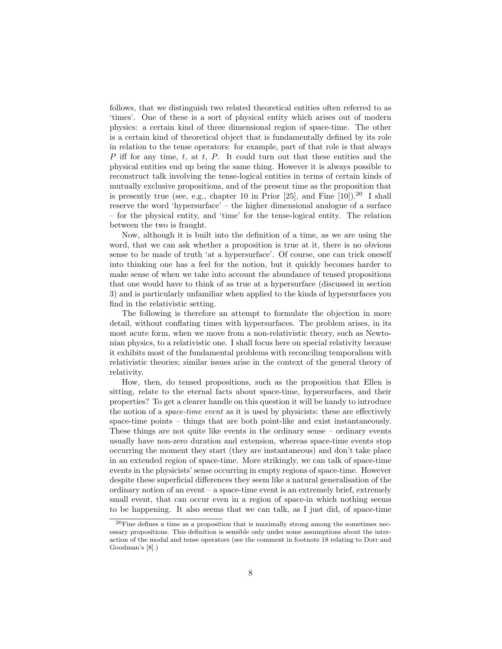follows, that we distinguish two related theoretical entities often referred to as 'times'. One of these is a sort of physical entity which arises out of modern physics: a certain kind of three dimensional region of space-time. The other is a certain kind of theoretical object that is fundamentally defined by its role in relation to the tense operators: for example, part of that role is that always P iff for any time,  $t$ , at  $t$ ,  $P$ . It could turn out that these entities and the physical entities end up being the same thing. However it is always possible to reconstruct talk involving the tense-logical entities in terms of certain kinds of mutually exclusive propositions, and of the present time as the proposition that is presently true (see, e.g., chapter 10 in Prior [25], and Fine  $[10]$ ).<sup>20</sup> I shall reserve the word 'hypersurface' – the higher dimensional analogue of a surface – for the physical entity, and 'time' for the tense-logical entity. The relation between the two is fraught.

Now, although it is built into the definition of a time, as we are using the word, that we can ask whether a proposition is true at it, there is no obvious sense to be made of truth 'at a hypersurface'. Of course, one can trick oneself into thinking one has a feel for the notion, but it quickly becomes harder to make sense of when we take into account the abundance of tensed propositions that one would have to think of as true at a hypersurface (discussed in section 3) and is particularly unfamiliar when applied to the kinds of hypersurfaces you find in the relativistic setting.

The following is therefore an attempt to formulate the objection in more detail, without conflating times with hypersurfaces. The problem arises, in its most acute form, when we move from a non-relativistic theory, such as Newtonian physics, to a relativistic one. I shall focus here on special relativity because it exhibits most of the fundamental problems with reconciling temporalism with relativistic theories; similar issues arise in the context of the general theory of relativity.

How, then, do tensed propositions, such as the proposition that Ellen is sitting, relate to the eternal facts about space-time, hypersurfaces, and their properties? To get a clearer handle on this question it will be handy to introduce the notion of a space-time event as it is used by physicists: these are effectively space-time points – things that are both point-like and exist instantaneously. These things are not quite like events in the ordinary sense – ordinary events usually have non-zero duration and extension, whereas space-time events stop occurring the moment they start (they are instantaneous) and don't take place in an extended region of space-time. More strikingly, we can talk of space-time events in the physicists' sense occurring in empty regions of space-time. However despite these superficial differences they seem like a natural generalisation of the ordinary notion of an event – a space-time event is an extremely brief, extremely small event, that can occur even in a region of space-in which nothing seems to be happening. It also seems that we can talk, as I just did, of space-time

 $^{20}\mathrm{F}$ ine defines a time as a proposition that is maximally strong among the sometimes necessary propositions. This definition is sensible only under some assumptions about the interaction of the modal and tense operators (see the comment in footnote 18 relating to Dorr and Goodman's [8].)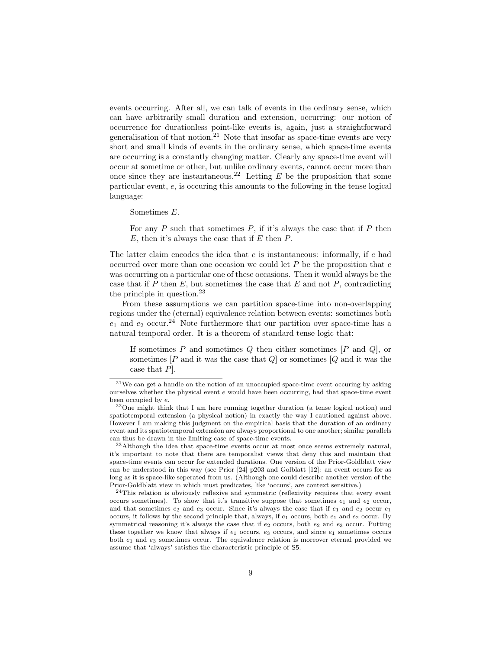events occurring. After all, we can talk of events in the ordinary sense, which can have arbitrarily small duration and extension, occurring: our notion of occurrence for durationless point-like events is, again, just a straightforward generalisation of that notion.<sup>21</sup> Note that insofar as space-time events are very short and small kinds of events in the ordinary sense, which space-time events are occurring is a constantly changing matter. Clearly any space-time event will occur at sometime or other, but unlike ordinary events, cannot occur more than once since they are instantaneous.<sup>22</sup> Letting  $E$  be the proposition that some particular event, e, is occuring this amounts to the following in the tense logical language:

Sometimes E.

For any  $P$  such that sometimes  $P$ , if it's always the case that if  $P$  then  $E$ , then it's always the case that if  $E$  then  $P$ .

The latter claim encodes the idea that e is instantaneous: informally, if e had occurred over more than one occasion we could let  $P$  be the proposition that  $e$ was occurring on a particular one of these occasions. Then it would always be the case that if  $P$  then  $E$ , but sometimes the case that  $E$  and not  $P$ , contradicting the principle in question. $^{23}$ 

From these assumptions we can partition space-time into non-overlapping regions under the (eternal) equivalence relation between events: sometimes both  $e_1$  and  $e_2$  occur.<sup>24</sup> Note furthermore that our partition over space-time has a natural temporal order. It is a theorem of standard tense logic that:

If sometimes  $P$  and sometimes  $Q$  then either sometimes  $[P$  and  $Q]$ , or sometimes  $[P$  and it was the case that  $Q$  or sometimes  $[Q$  and it was the case that P].

 $21$ We can get a handle on the notion of an unoccupied space-time event occuring by asking ourselves whether the physical event  $e$  would have been occurring, had that space-time event been occupied by e.

 $^{22}$ One might think that I am here running together duration (a tense logical notion) and spatiotemporal extension (a physical notion) in exactly the way I cautioned against above. However I am making this judgment on the empirical basis that the duration of an ordinary event and its spatiotemporal extension are always proportional to one another; similar parallels can thus be drawn in the limiting case of space-time events.

 $23$ Although the idea that space-time events occur at most once seems extremely natural, it's important to note that there are temporalist views that deny this and maintain that space-time events can occur for extended durations. One version of the Prior-Goldblatt view can be understood in this way (see Prior [24] p203 and Golblatt [12]: an event occurs for as long as it is space-like seperated from us. (Although one could describe another version of the Prior-Goldblatt view in which must predicates, like 'occurs', are context sensitive.)

 $^{24}$ This relation is obviously reflexive and symmetric (reflexivity requires that every event occurs sometimes). To show that it's transitive suppose that sometimes  $e_1$  and  $e_2$  occur, and that sometimes  $e_2$  and  $e_3$  occur. Since it's always the case that if  $e_1$  and  $e_2$  occur  $e_1$ occurs, it follows by the second principle that, always, if  $e_1$  occurs, both  $e_1$  and  $e_2$  occur. By symmetrical reasoning it's always the case that if  $e_2$  occurs, both  $e_2$  and  $e_3$  occur. Putting these together we know that always if  $e_1$  occurs,  $e_3$  occurs, and since  $e_1$  sometimes occurs both  $e_1$  and  $e_3$  sometimes occur. The equivalence relation is moreover eternal provided we assume that 'always' satisfies the characteristic principle of S5.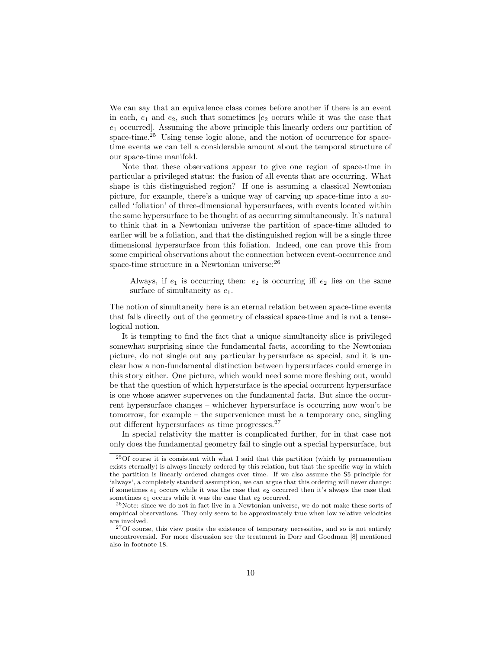We can say that an equivalence class comes before another if there is an event in each,  $e_1$  and  $e_2$ , such that sometimes  $[e_2$  occurs while it was the case that  $e_1$  occurred]. Assuming the above principle this linearly orders our partition of space-time.<sup>25</sup> Using tense logic alone, and the notion of occurrence for spacetime events we can tell a considerable amount about the temporal structure of our space-time manifold.

Note that these observations appear to give one region of space-time in particular a privileged status: the fusion of all events that are occurring. What shape is this distinguished region? If one is assuming a classical Newtonian picture, for example, there's a unique way of carving up space-time into a socalled 'foliation' of three-dimensional hypersurfaces, with events located within the same hypersurface to be thought of as occurring simultaneously. It's natural to think that in a Newtonian universe the partition of space-time alluded to earlier will be a foliation, and that the distinguished region will be a single three dimensional hypersurface from this foliation. Indeed, one can prove this from some empirical observations about the connection between event-occurrence and space-time structure in a Newtonian universe:  $26$ 

Always, if  $e_1$  is occurring then:  $e_2$  is occurring iff  $e_2$  lies on the same surface of simultaneity as  $e_1$ .

The notion of simultaneity here is an eternal relation between space-time events that falls directly out of the geometry of classical space-time and is not a tenselogical notion.

It is tempting to find the fact that a unique simultaneity slice is privileged somewhat surprising since the fundamental facts, according to the Newtonian picture, do not single out any particular hypersurface as special, and it is unclear how a non-fundamental distinction between hypersurfaces could emerge in this story either. One picture, which would need some more fleshing out, would be that the question of which hypersurface is the special occurrent hypersurface is one whose answer supervenes on the fundamental facts. But since the occurrent hypersurface changes – whichever hypersurface is occurring now won't be tomorrow, for example – the supervenience must be a temporary one, singling out different hypersurfaces as time progresses.<sup>27</sup>

In special relativity the matter is complicated further, for in that case not only does the fundamental geometry fail to single out a special hypersurface, but

 $^{25}$ Of course it is consistent with what I said that this partition (which by permanentism exists eternally) is always linearly ordered by this relation, but that the specific way in which the partition is linearly ordered changes over time. If we also assume the S5 principle for 'always', a completely standard assumption, we can argue that this ordering will never change: if sometimes  $e_1$  occurs while it was the case that  $e_2$  occurred then it's always the case that sometimes  $e_1$  occurs while it was the case that  $e_2$  occurred.

 $^{26}$ Note: since we do not in fact live in a Newtonian universe, we do not make these sorts of empirical observations. They only seem to be approximately true when low relative velocities are involved.

<sup>27</sup>Of course, this view posits the existence of temporary necessities, and so is not entirely uncontroversial. For more discussion see the treatment in Dorr and Goodman [8] mentioned also in footnote 18.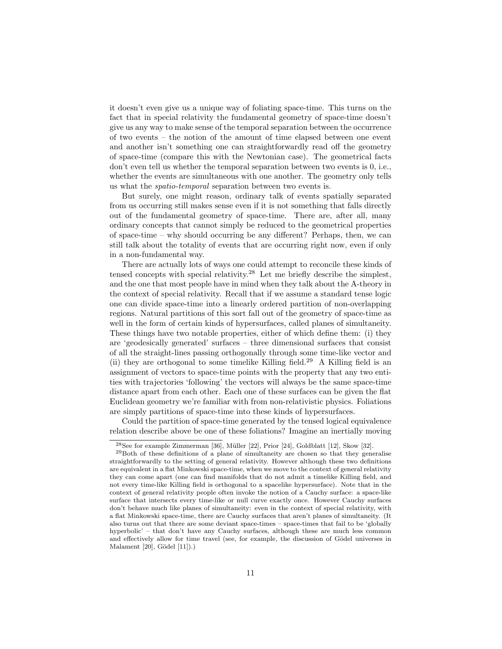it doesn't even give us a unique way of foliating space-time. This turns on the fact that in special relativity the fundamental geometry of space-time doesn't give us any way to make sense of the temporal separation between the occurrence of two events – the notion of the amount of time elapsed between one event and another isn't something one can straightforwardly read off the geometry of space-time (compare this with the Newtonian case). The geometrical facts don't even tell us whether the temporal separation between two events is 0, i.e., whether the events are simultaneous with one another. The geometry only tells us what the spatio-temporal separation between two events is.

But surely, one might reason, ordinary talk of events spatially separated from us occurring still makes sense even if it is not something that falls directly out of the fundamental geometry of space-time. There are, after all, many ordinary concepts that cannot simply be reduced to the geometrical properties of space-time – why should occurring be any different? Perhaps, then, we can still talk about the totality of events that are occurring right now, even if only in a non-fundamental way.

There are actually lots of ways one could attempt to reconcile these kinds of tensed concepts with special relativity.<sup>28</sup> Let me briefly describe the simplest, and the one that most people have in mind when they talk about the A-theory in the context of special relativity. Recall that if we assume a standard tense logic one can divide space-time into a linearly ordered partition of non-overlapping regions. Natural partitions of this sort fall out of the geometry of space-time as well in the form of certain kinds of hypersurfaces, called planes of simultaneity. These things have two notable properties, either of which define them: (i) they are 'geodesically generated' surfaces – three dimensional surfaces that consist of all the straight-lines passing orthogonally through some time-like vector and (ii) they are orthogonal to some timelike Killing field.<sup>29</sup> A Killing field is an assignment of vectors to space-time points with the property that any two entities with trajectories 'following' the vectors will always be the same space-time distance apart from each other. Each one of these surfaces can be given the flat Euclidean geometry we're familiar with from non-relativistic physics. Foliations are simply partitions of space-time into these kinds of hypersurfaces.

Could the partition of space-time generated by the tensed logical equivalence relation describe above be one of these foliations? Imagine an inertially moving

 $28$ See for example Zimmerman [36], Müller [22], Prior [24], Goldblatt [12], Skow [32].

<sup>29</sup>Both of these definitions of a plane of simultaneity are chosen so that they generalise straightforwardly to the setting of general relativity. However although these two definitions are equivalent in a flat Minkowski space-time, when we move to the context of general relativity they can come apart (one can find manifolds that do not admit a timelike Killing field, and not every time-like Killing field is orthogonal to a spacelike hypersurface). Note that in the context of general relativity people often invoke the notion of a Cauchy surface: a space-like surface that intersects every time-like or null curve exactly once. However Cauchy surfaces don't behave much like planes of simultaneity: even in the context of special relativity, with a flat Minkowski space-time, there are Cauchy surfaces that aren't planes of simultaneity. (It also turns out that there are some deviant space-times – space-times that fail to be 'globally hyperbolic' – that don't have any Cauchy surfaces, although these are much less common and effectively allow for time travel (see, for example, the discussion of Gödel universes in Malament  $[20]$ , Gödel  $[11]$ ).)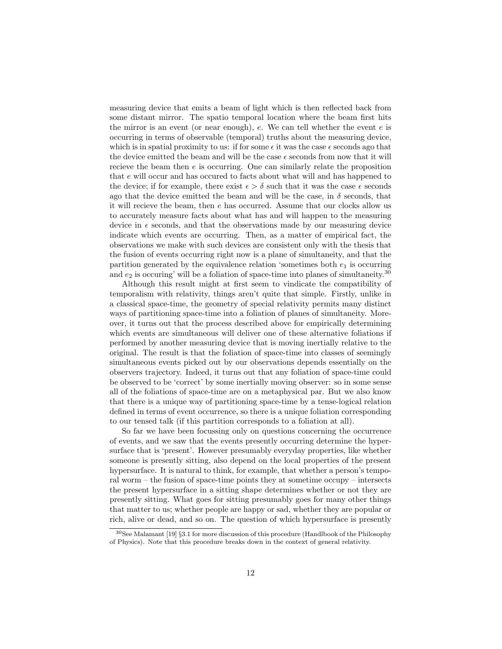measuring device that emits a beam of light which is then reflected back from some distant mirror. The spatio temporal location where the beam first hits the mirror is an event (or near enough),  $e$ . We can tell whether the event  $e$  is occurring in terms of observable (temporal) truths about the measuring device, which is in spatial proximity to us: if for some  $\epsilon$  it was the case  $\epsilon$  seconds ago that the device emitted the beam and will be the case  $\epsilon$  seconds from now that it will recieve the beam then  $e$  is occurring. One can similarly relate the proposition that e will occur and has occured to facts about what will and has happened to the device; if for example, there exist  $\epsilon > \delta$  such that it was the case  $\epsilon$  seconds ago that the device emitted the beam and will be the case, in  $\delta$  seconds, that it will recieve the beam, then e has occurred. Assume that our clocks allow us to accurately measure facts about what has and will happen to the measuring device in  $\epsilon$  seconds, and that the observations made by our measuring device indicate which events are occurring. Then, as a matter of empirical fact, the observations we make with such devices are consistent only with the thesis that the fusion of events occurring right now is a plane of simultaneity, and that the partition generated by the equivalence relation 'sometimes both  $e_1$  is occurring and  $e_2$  is occuring' will be a foliation of space-time into planes of simultaneity.<sup>30</sup>

Although this result might at first seem to vindicate the compatibility of temporalism with relativity, things aren't quite that simple. Firstly, unlike in a classical space-time, the geometry of special relativity permits many distinct ways of partitioning space-time into a foliation of planes of simultaneity. Moreover, it turns out that the process described above for empirically determining which events are simultaneous will deliver one of these alternative foliations if performed by another measuring device that is moving inertially relative to the original. The result is that the foliation of space-time into classes of seemingly simultaneous events picked out by our observations depends essentially on the observers trajectory. Indeed, it turns out that any foliation of space-time could be observed to be 'correct' by some inertially moving observer: so in some sense all of the foliations of space-time are on a metaphysical par. But we also know that there is a unique way of partitioning space-time by a tense-logical relation defined in terms of event occurrence, so there is a unique foliation corresponding to our tensed talk (if this partition corresponds to a foliation at all).

So far we have been focussing only on questions concerning the occurrence of events, and we saw that the events presently occurring determine the hypersurface that is 'present'. However presumably everyday properties, like whether someone is presently sitting, also depend on the local properties of the present hypersurface. It is natural to think, for example, that whether a person's temporal worm – the fusion of space-time points they at sometime occupy – intersects the present hypersurface in a sitting shape determines whether or not they are presently sitting. What goes for sitting presumably goes for many other things that matter to us; whether people are happy or sad, whether they are popular or rich, alive or dead, and so on. The question of which hypersurface is presently

<sup>30</sup>See Malamant [19] §3.1 for more discussion of this procedure (Handlbook of the Philosophy of Physics). Note that this procedure breaks down in the context of general relativity.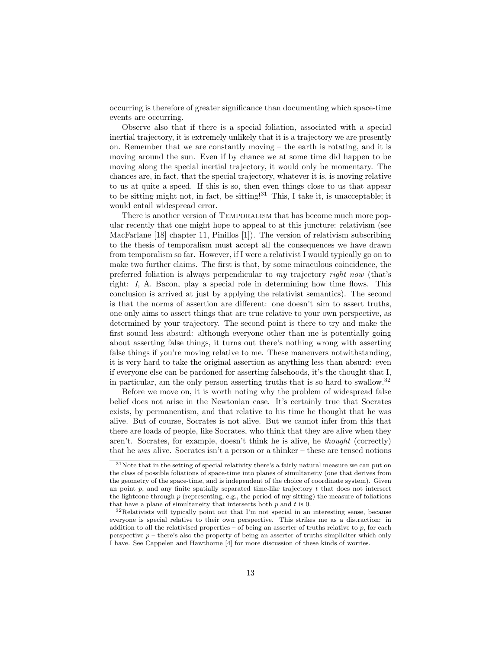occurring is therefore of greater significance than documenting which space-time events are occurring.

Observe also that if there is a special foliation, associated with a special inertial trajectory, it is extremely unlikely that it is a trajectory we are presently on. Remember that we are constantly moving – the earth is rotating, and it is moving around the sun. Even if by chance we at some time did happen to be moving along the special inertial trajectory, it would only be momentary. The chances are, in fact, that the special trajectory, whatever it is, is moving relative to us at quite a speed. If this is so, then even things close to us that appear to be sitting might not, in fact, be sitting!<sup>31</sup> This, I take it, is unacceptable; it would entail widespread error.

There is another version of TEMPORALISM that has become much more popular recently that one might hope to appeal to at this juncture: relativism (see MacFarlane [18] chapter 11, Pinillos [1]). The version of relativism subscribing to the thesis of temporalism must accept all the consequences we have drawn from temporalism so far. However, if I were a relativist I would typically go on to make two further claims. The first is that, by some miraculous coincidence, the preferred foliation is always perpendicular to my trajectory right now (that's right: I, A. Bacon, play a special role in determining how time flows. This conclusion is arrived at just by applying the relativist semantics). The second is that the norms of assertion are different: one doesn't aim to assert truths, one only aims to assert things that are true relative to your own perspective, as determined by your trajectory. The second point is there to try and make the first sound less absurd: although everyone other than me is potentially going about asserting false things, it turns out there's nothing wrong with asserting false things if you're moving relative to me. These maneuvers notwithstanding, it is very hard to take the original assertion as anything less than absurd: even if everyone else can be pardoned for asserting falsehoods, it's the thought that I, in particular, am the only person asserting truths that is so hard to swallow.<sup>32</sup>

Before we move on, it is worth noting why the problem of widespread false belief does not arise in the Newtonian case. It's certainly true that Socrates exists, by permanentism, and that relative to his time he thought that he was alive. But of course, Socrates is not alive. But we cannot infer from this that there are loads of people, like Socrates, who think that they are alive when they aren't. Socrates, for example, doesn't think he is alive, he thought (correctly) that he was alive. Socrates isn't a person or a thinker – these are tensed notions

<sup>31</sup>Note that in the setting of special relativity there's a fairly natural measure we can put on the class of possible foliations of space-time into planes of simultaneity (one that derives from the geometry of the space-time, and is independent of the choice of coordinate system). Given an point  $p$ , and any finite spatially separated time-like trajectory  $t$  that does not intersect the lightcone through  $p$  (representing, e.g., the period of my sitting) the measure of foliations that have a plane of simultaneity that intersects both  $p$  and  $t$  is 0.

 $32$ Relativists will typically point out that I'm not special in an interesting sense, because everyone is special relative to their own perspective. This strikes me as a distraction: in addition to all the relativised properties  $-$  of being an asserter of truths relative to  $p$ , for each perspective  $p$  – there's also the property of being an asserter of truths simpliciter which only I have. See Cappelen and Hawthorne [4] for more discussion of these kinds of worries.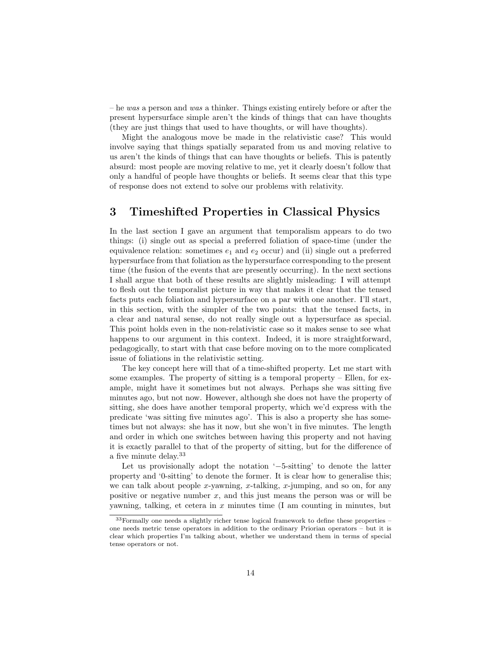– he was a person and was a thinker. Things existing entirely before or after the present hypersurface simple aren't the kinds of things that can have thoughts (they are just things that used to have thoughts, or will have thoughts).

Might the analogous move be made in the relativistic case? This would involve saying that things spatially separated from us and moving relative to us aren't the kinds of things that can have thoughts or beliefs. This is patently absurd: most people are moving relative to me, yet it clearly doesn't follow that only a handful of people have thoughts or beliefs. It seems clear that this type of response does not extend to solve our problems with relativity.

## 3 Timeshifted Properties in Classical Physics

In the last section I gave an argument that temporalism appears to do two things: (i) single out as special a preferred foliation of space-time (under the equivalence relation: sometimes  $e_1$  and  $e_2$  occur) and (ii) single out a preferred hypersurface from that foliation as the hypersurface corresponding to the present time (the fusion of the events that are presently occurring). In the next sections I shall argue that both of these results are slightly misleading: I will attempt to flesh out the temporalist picture in way that makes it clear that the tensed facts puts each foliation and hypersurface on a par with one another. I'll start, in this section, with the simpler of the two points: that the tensed facts, in a clear and natural sense, do not really single out a hypersurface as special. This point holds even in the non-relativistic case so it makes sense to see what happens to our argument in this context. Indeed, it is more straightforward, pedagogically, to start with that case before moving on to the more complicated issue of foliations in the relativistic setting.

The key concept here will that of a time-shifted property. Let me start with some examples. The property of sitting is a temporal property – Ellen, for example, might have it sometimes but not always. Perhaps she was sitting five minutes ago, but not now. However, although she does not have the property of sitting, she does have another temporal property, which we'd express with the predicate 'was sitting five minutes ago'. This is also a property she has sometimes but not always: she has it now, but she won't in five minutes. The length and order in which one switches between having this property and not having it is exactly parallel to that of the property of sitting, but for the difference of a five minute delay.<sup>33</sup>

Let us provisionally adopt the notation '−5-sitting' to denote the latter property and '0-sitting' to denote the former. It is clear how to generalise this; we can talk about people x-yawning, x-talking, x-jumping, and so on, for any positive or negative number  $x$ , and this just means the person was or will be yawning, talking, et cetera in  $x$  minutes time (I am counting in minutes, but

<sup>33</sup>Formally one needs a slightly richer tense logical framework to define these properties – one needs metric tense operators in addition to the ordinary Priorian operators – but it is clear which properties I'm talking about, whether we understand them in terms of special tense operators or not.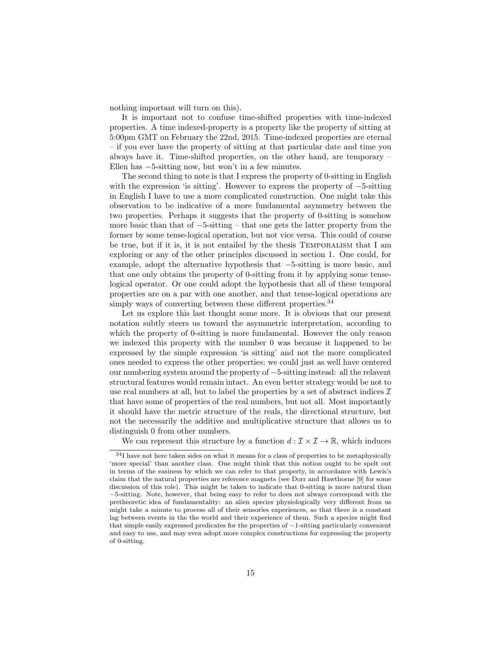nothing important will turn on this).

It is important not to confuse time-shifted properties with time-indexed properties. A time indexed-property is a property like the property of sitting at 5:00pm GMT on February the 22nd, 2015. Time-indexed properties are eternal – if you ever have the property of sitting at that particular date and time you always have it. Time-shifted properties, on the other hand, are temporary – Ellen has −5-sitting now, but won't in a few minutes.

The second thing to note is that I express the property of 0-sitting in English with the expression 'is sitting'. However to express the property of  $-5$ -sitting in English I have to use a more complicated construction. One might take this observation to be indicative of a more fundamental asymmetry between the two properties. Perhaps it suggests that the property of 0-sitting is somehow more basic than that of −5-sitting – that one gets the latter property from the former by some tense-logical operation, but not vice versa. This could of course be true, but if it is, it is not entailed by the thesis Temporalism that I am exploring or any of the other principles discussed in section 1. One could, for example, adopt the alternative hypothesis that −5-sitting is more basic, and that one only obtains the property of 0-sitting from it by applying some tenselogical operator. Or one could adopt the hypothesis that all of these temporal properties are on a par with one another, and that tense-logical operations are simply ways of converting between these different properties.<sup>34</sup>

Let us explore this last thought some more. It is obvious that our present notation subtly steers us toward the asymmetric interpretation, according to which the property of 0-sitting is more fundamental. However the only reason we indexed this property with the number 0 was because it happened to be expressed by the simple expression 'is sitting' and not the more complicated ones needed to express the other properties; we could just as well have centered our numbering system around the property of −5-sitting instead: all the relavent structural features would remain intact. An even better strategy would be not to use real numbers at all, but to label the properties by a set of abstract indices  $\mathcal I$ that have some of properties of the real numbers, but not all. Most importantly it should have the metric structure of the reals, the directional structure, but not the necessarily the additive and multiplicative structure that allows us to distinguish 0 from other numbers.

We can represent this structure by a function  $d : \mathcal{I} \times \mathcal{I} \to \mathbb{R}$ , which induces

 $\rm ^{34}I$  have not here taken sides on what it means for a class of properties to be metaphysically 'more special' than another class. One might think that this notion ought to be spelt out in terms of the easiness by which we can refer to that property, in accordance with Lewis's claim that the natural properties are reference magnets (see Dorr and Hawthorne [9] for some discussion of this role). This might be taken to indicate that 0-sitting is more natural than −5-sitting. Note, however, that being easy to refer to does not always correspond with the pretheoretic idea of fundamentality: an alien species physiologically very different from us might take a minute to process all of their sensories experiences, so that there is a constant lag between events in the the world and their experience of them. Such a species might find that simple easily expressed predicates for the properties of −1-sitting particularly convenient and easy to use, and may even adopt more complex constructions for expressing the property of 0-sitting.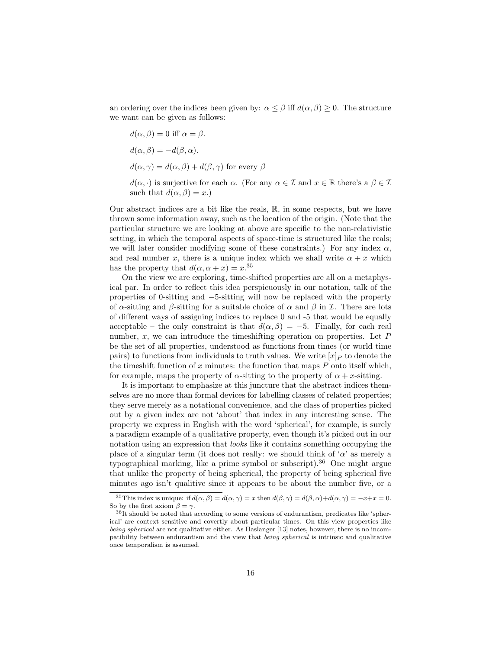an ordering over the indices been given by:  $\alpha \leq \beta$  iff  $d(\alpha, \beta) \geq 0$ . The structure we want can be given as follows:

$$
d(\alpha, \beta) = 0 \text{ iff } \alpha = \beta.
$$
  
\n
$$
d(\alpha, \beta) = -d(\beta, \alpha).
$$
  
\n
$$
d(\alpha, \gamma) = d(\alpha, \beta) + d(\beta, \gamma) \text{ for every } \beta
$$

 $d(\alpha, \cdot)$  is surjective for each  $\alpha$ . (For any  $\alpha \in \mathcal{I}$  and  $x \in \mathbb{R}$  there's a  $\beta \in \mathcal{I}$ such that  $d(\alpha, \beta) = x$ .)

Our abstract indices are a bit like the reals,  $\mathbb{R}$ , in some respects, but we have thrown some information away, such as the location of the origin. (Note that the particular structure we are looking at above are specific to the non-relativistic setting, in which the temporal aspects of space-time is structured like the reals; we will later consider modifying some of these constraints.) For any index  $\alpha$ , and real number x, there is a unique index which we shall write  $\alpha + x$  which has the property that  $d(\alpha, \alpha + x) = x^{35}$ 

On the view we are exploring, time-shifted properties are all on a metaphysical par. In order to reflect this idea perspicuously in our notation, talk of the properties of 0-sitting and −5-sitting will now be replaced with the property of  $\alpha$ -sitting and  $\beta$ -sitting for a suitable choice of  $\alpha$  and  $\beta$  in  $\mathcal{I}$ . There are lots of different ways of assigning indices to replace 0 and -5 that would be equally acceptable – the only constraint is that  $d(\alpha, \beta) = -5$ . Finally, for each real number, x, we can introduce the timeshifting operation on properties. Let P be the set of all properties, understood as functions from times (or world time pairs) to functions from individuals to truth values. We write  $[x]_P$  to denote the the timeshift function of  $x$  minutes: the function that maps  $P$  onto itself which, for example, maps the property of  $\alpha$ -sitting to the property of  $\alpha + x$ -sitting.

It is important to emphasize at this juncture that the abstract indices themselves are no more than formal devices for labelling classes of related properties; they serve merely as a notational convenience, and the class of properties picked out by a given index are not 'about' that index in any interesting sense. The property we express in English with the word 'spherical', for example, is surely a paradigm example of a qualitative property, even though it's picked out in our notation using an expression that looks like it contains something occupying the place of a singular term (it does not really: we should think of ' $\alpha$ ' as merely a typographical marking, like a prime symbol or subscript).<sup>36</sup> One might argue that unlike the property of being spherical, the property of being spherical five minutes ago isn't qualitive since it appears to be about the number five, or a

<sup>&</sup>lt;sup>35</sup>This index is unique: if  $d(\alpha, \beta) = d(\alpha, \gamma) = x$  then  $d(\beta, \gamma) = d(\beta, \alpha) + d(\alpha, \gamma) = -x + x = 0$ . So by the first axiom  $\beta = \gamma$ .

 $36$ It should be noted that according to some versions of endurantism, predicates like 'spherical' are context sensitive and covertly about particular times. On this view properties like being spherical are not qualitative either. As Haslanger [13] notes, however, there is no incompatibility between endurantism and the view that being spherical is intrinsic and qualitative once temporalism is assumed.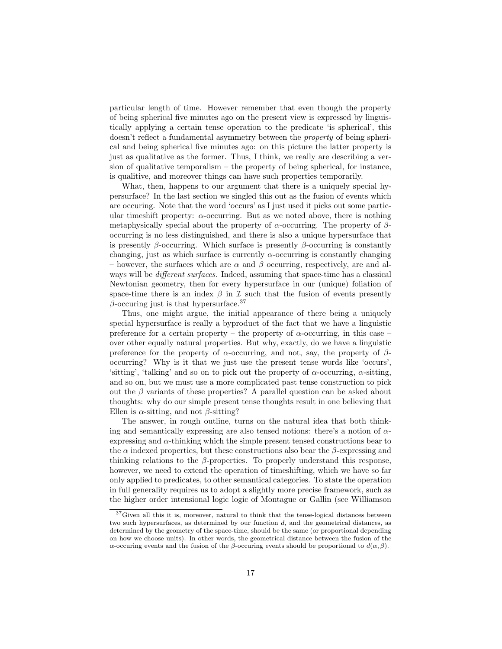particular length of time. However remember that even though the property of being spherical five minutes ago on the present view is expressed by linguistically applying a certain tense operation to the predicate 'is spherical', this doesn't reflect a fundamental asymmetry between the property of being spherical and being spherical five minutes ago: on this picture the latter property is just as qualitative as the former. Thus, I think, we really are describing a version of qualitative temporalism  $-$  the property of being spherical, for instance, is qualitive, and moreover things can have such properties temporarily.

What, then, happens to our argument that there is a uniquely special hypersurface? In the last section we singled this out as the fusion of events which are occuring. Note that the word 'occurs' as I just used it picks out some particular timeshift property:  $\alpha$ -occurring. But as we noted above, there is nothing metaphysically special about the property of  $\alpha$ -occurring. The property of  $\beta$ occurring is no less distinguished, and there is also a unique hypersurface that is presently β-occurring. Which surface is presently β-occurring is constantly changing, just as which surface is currently  $\alpha$ -occurring is constantly changing – however, the surfaces which are  $\alpha$  and  $\beta$  occurring, respectively, are and always will be *different surfaces*. Indeed, assuming that space-time has a classical Newtonian geometry, then for every hypersurface in our (unique) foliation of space-time there is an index  $\beta$  in  $\mathcal I$  such that the fusion of events presently β-occuring just is that hypersurface.  $37$ 

Thus, one might argue, the initial appearance of there being a uniquely special hypersurface is really a byproduct of the fact that we have a linguistic preference for a certain property – the property of  $\alpha$ -occurring, in this case – over other equally natural properties. But why, exactly, do we have a linguistic preference for the property of  $\alpha$ -occurring, and not, say, the property of  $\beta$ occurring? Why is it that we just use the present tense words like 'occurs', 'sitting', 'talking' and so on to pick out the property of  $\alpha$ -occurring,  $\alpha$ -sitting, and so on, but we must use a more complicated past tense construction to pick out the  $\beta$  variants of these properties? A parallel question can be asked about thoughts: why do our simple present tense thoughts result in one believing that Ellen is  $\alpha$ -sitting, and not  $\beta$ -sitting?

The answer, in rough outline, turns on the natural idea that both thinking and semantically expressing are also tensed notions: there's a notion of  $\alpha$ expressing and  $\alpha$ -thinking which the simple present tensed constructions bear to the  $\alpha$  indexed properties, but these constructions also bear the  $\beta$ -expressing and thinking relations to the  $\beta$ -properties. To properly understand this response, however, we need to extend the operation of timeshifting, which we have so far only applied to predicates, to other semantical categories. To state the operation in full generality requires us to adopt a slightly more precise framework, such as the higher order intensional logic logic of Montague or Gallin (see Williamson

<sup>37</sup>Given all this it is, moreover, natural to think that the tense-logical distances between two such hypersurfaces, as determined by our function d, and the geometrical distances, as determined by the geometry of the space-time, should be the same (or proportional depending on how we choose units). In other words, the geometrical distance between the fusion of the α-occuring events and the fusion of the β-occuring events should be proportional to  $d(α, β)$ .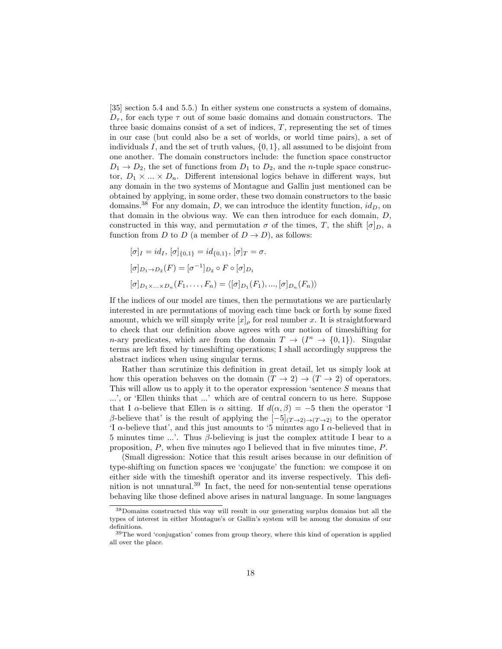[35] section 5.4 and 5.5.) In either system one constructs a system of domains,  $D_{\tau}$ , for each type  $\tau$  out of some basic domains and domain constructors. The three basic domains consist of a set of indices,  $T$ , representing the set of times in our case (but could also be a set of worlds, or world time pairs), a set of individuals I, and the set of truth values,  $\{0, 1\}$ , all assumed to be disjoint from one another. The domain constructors include: the function space constructor  $D_1 \rightarrow D_2$ , the set of functions from  $D_1$  to  $D_2$ , and the *n*-tuple space constructor,  $D_1 \times ... \times D_n$ . Different intensional logics behave in different ways, but any domain in the two systems of Montague and Gallin just mentioned can be obtained by applying, in some order, these two domain constructors to the basic domains.<sup>38</sup> For any domain, D, we can introduce the identity function,  $id_D$ , on that domain in the obvious way. We can then introduce for each domain, D, constructed in this way, and permutation  $\sigma$  of the times, T, the shift  $[\sigma]_D$ , a function from D to D (a member of  $D \to D$ ), as follows:

$$
[\sigma]_I = id_I, [\sigma]_{\{0,1\}} = id_{\{0,1\}}, [\sigma]_T = \sigma.
$$
  

$$
[\sigma]_{D_1 \to D_2}(F) = [\sigma^{-1}]_{D_2} \circ F \circ [\sigma]_{D_1}
$$
  

$$
[\sigma]_{D_1 \times \ldots \times D_n}(F_1, \ldots, F_n) = \langle [\sigma]_{D_1}(F_1), \ldots, [\sigma]_{D_n}(F_n) \rangle
$$

If the indices of our model are times, then the permutations we are particularly interested in are permutations of moving each time back or forth by some fixed amount, which we will simply write  $[x]_\rho$  for real number x. It is straightforward to check that our definition above agrees with our notion of timeshifting for *n*-ary predicates, which are from the domain  $T \to (I^n \to \{0,1\})$ . Singular terms are left fixed by timeshifting operations; I shall accordingly suppress the abstract indices when using singular terms.

Rather than scrutinize this definition in great detail, let us simply look at how this operation behaves on the domain  $(T \to 2) \to (T \to 2)$  of operators. This will allow us to apply it to the operator expression 'sentence S means that ...', or 'Ellen thinks that ...' which are of central concern to us here. Suppose that I  $\alpha$ -believe that Ellen is  $\alpha$  sitting. If  $d(\alpha, \beta) = -5$  then the operator 'I β-believe that' is the result of applying the  $[-5]$ <sub> $(T\rightarrow 2)$ </sub>  $\rightarrow$   $(T\rightarrow 2)$  to the operator 'I  $\alpha$ -believe that', and this just amounts to '5 minutes ago I  $\alpha$ -believed that in 5 minutes time ...'. Thus β-believing is just the complex attitude I bear to a proposition,  $P$ , when five minutes ago I believed that in five minutes time,  $P$ .

(Small digression: Notice that this result arises because in our definition of type-shifting on function spaces we 'conjugate' the function: we compose it on either side with the timeshift operator and its inverse respectively. This definition is not unnatural.<sup>39</sup> In fact, the need for non-sentential tense operations behaving like those defined above arises in natural language. In some languages

<sup>38</sup>Domains constructed this way will result in our generating surplus domains but all the types of interest in either Montague's or Gallin's system will be among the domains of our definitions.

<sup>39</sup>The word 'conjugation' comes from group theory, where this kind of operation is applied all over the place.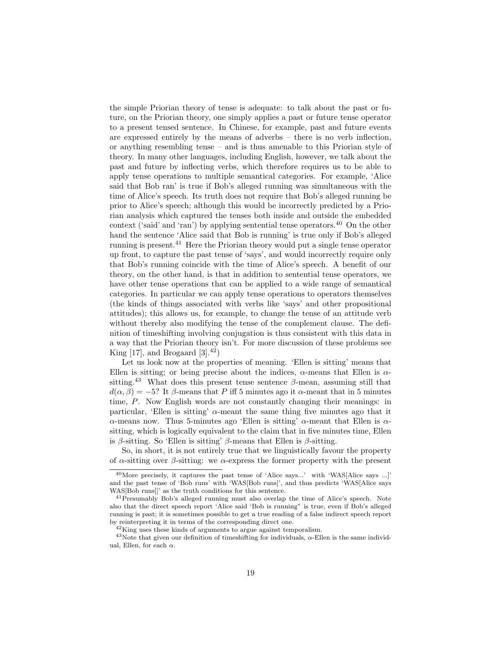the simple Priorian theory of tense is adequate: to talk about the past or future, on the Priorian theory, one simply applies a past or future tense operator to a present tensed sentence. In Chinese, for example, past and future events are expressed entirely by the means of adverbs – there is no verb inflection, or anything resembling tense – and is thus amenable to this Priorian style of theory. In many other languages, including English, however, we talk about the past and future by inflecting verbs, which therefore requires us to be able to apply tense operations to multiple semantical categories. For example, 'Alice said that Bob ran' is true if Bob's alleged running was simultaneous with the time of Alice's speech. Its truth does not require that Bob's alleged running be prior to Alice's speech; although this would be incorrectly predicted by a Priorian analysis which captured the tenses both inside and outside the embedded context ('said' and 'ran') by applying sentential tense operators.<sup>40</sup> On the other hand the sentence 'Alice said that Bob is running' is true only if Bob's alleged running is present.<sup>41</sup> Here the Priorian theory would put a single tense operator up front, to capture the past tense of 'says', and would incorrectly require only that Bob's running coincide with the time of Alice's speech. A benefit of our theory, on the other hand, is that in addition to sentential tense operators, we have other tense operations that can be applied to a wide range of semantical categories. In particular we can apply tense operations to operators themselves (the kinds of things associated with verbs like 'says' and other propositional attitudes); this allows us, for example, to change the tense of an attitude verb without thereby also modifying the tense of the complement clause. The definition of timeshifting involving conjugation is thus consistent with this data in a way that the Priorian theory isn't. For more discussion of these problems see King [17], and Brogaard  $[3].^{42}$ 

Let us look now at the properties of meaning. 'Ellen is sitting' means that Ellen is sitting; or being precise about the indices,  $\alpha$ -means that Ellen is  $\alpha$ sitting.<sup>43</sup> What does this present tense sentence  $\beta$ -mean, assuming still that  $d(\alpha, \beta) = -5$ ? It  $\beta$ -means that P iff 5 minutes ago it  $\alpha$ -meant that in 5 minutes time, P. Now English words are not constantly changing their meanings: in particular, 'Ellen is sitting'  $\alpha$ -meant the same thing five minutes ago that it α-means now. Thus 5-minutes ago 'Ellen is sitting' α-meant that Ellen is αsitting, which is logically equivalent to the claim that in five minutes time, Ellen is β-sitting. So 'Ellen is sitting' β-means that Ellen is β-sitting.

So, in short, it is not entirely true that we linguistically favour the property of  $\alpha$ -sitting over  $\beta$ -sitting: we  $\alpha$ -express the former property with the present

<sup>40</sup>More precisely, it captures the past tense of 'Alice says...' with 'WAS[Alice says ...]' and the past tense of 'Bob runs' with 'WAS[Bob runs]', and thus predicts 'WAS[Alice says WAS[Bob runs]]' as the truth conditions for this sentence.

<sup>41</sup>Presumably Bob's alleged running must also overlap the time of Alice's speech. Note also that the direct speech report 'Alice said 'Bob is running" is true, even if Bob's alleged running is past; it is sometimes possible to get a true reading of a false indirect speech report by reinterpreting it in terms of the corresponding direct one.

 $^{42}$ King uses these kinds of arguments to argue against temporalism.

<sup>&</sup>lt;sup>43</sup>Note that given our definition of timeshifting for individuals,  $α$ -Ellen is the same individual, Ellen, for each  $\alpha$ .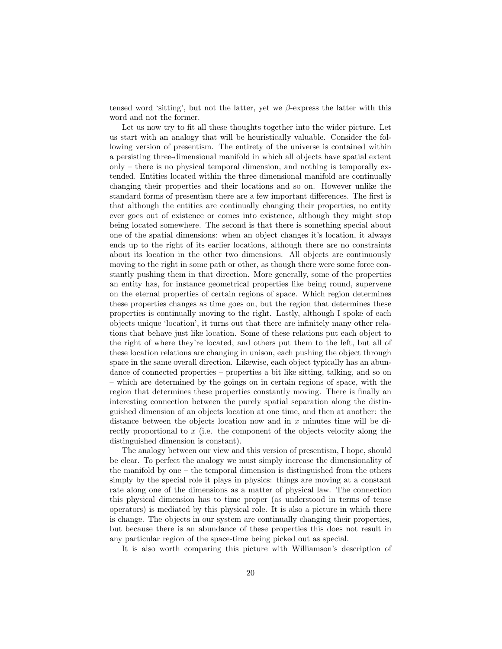tensed word 'sitting', but not the latter, yet we  $\beta$ -express the latter with this word and not the former.

Let us now try to fit all these thoughts together into the wider picture. Let us start with an analogy that will be heuristically valuable. Consider the following version of presentism. The entirety of the universe is contained within a persisting three-dimensional manifold in which all objects have spatial extent only – there is no physical temporal dimension, and nothing is temporally extended. Entities located within the three dimensional manifold are continually changing their properties and their locations and so on. However unlike the standard forms of presentism there are a few important differences. The first is that although the entities are continually changing their properties, no entity ever goes out of existence or comes into existence, although they might stop being located somewhere. The second is that there is something special about one of the spatial dimensions: when an object changes it's location, it always ends up to the right of its earlier locations, although there are no constraints about its location in the other two dimensions. All objects are continuously moving to the right in some path or other, as though there were some force constantly pushing them in that direction. More generally, some of the properties an entity has, for instance geometrical properties like being round, supervene on the eternal properties of certain regions of space. Which region determines these properties changes as time goes on, but the region that determines these properties is continually moving to the right. Lastly, although I spoke of each objects unique 'location', it turns out that there are infinitely many other relations that behave just like location. Some of these relations put each object to the right of where they're located, and others put them to the left, but all of these location relations are changing in unison, each pushing the object through space in the same overall direction. Likewise, each object typically has an abundance of connected properties – properties a bit like sitting, talking, and so on – which are determined by the goings on in certain regions of space, with the region that determines these properties constantly moving. There is finally an interesting connection between the purely spatial separation along the distinguished dimension of an objects location at one time, and then at another: the distance between the objects location now and in  $x$  minutes time will be directly proportional to x (i.e. the component of the objects velocity along the distinguished dimension is constant).

The analogy between our view and this version of presentism, I hope, should be clear. To perfect the analogy we must simply increase the dimensionality of the manifold by one – the temporal dimension is distinguished from the others simply by the special role it plays in physics: things are moving at a constant rate along one of the dimensions as a matter of physical law. The connection this physical dimension has to time proper (as understood in terms of tense operators) is mediated by this physical role. It is also a picture in which there is change. The objects in our system are continually changing their properties, but because there is an abundance of these properties this does not result in any particular region of the space-time being picked out as special.

It is also worth comparing this picture with Williamson's description of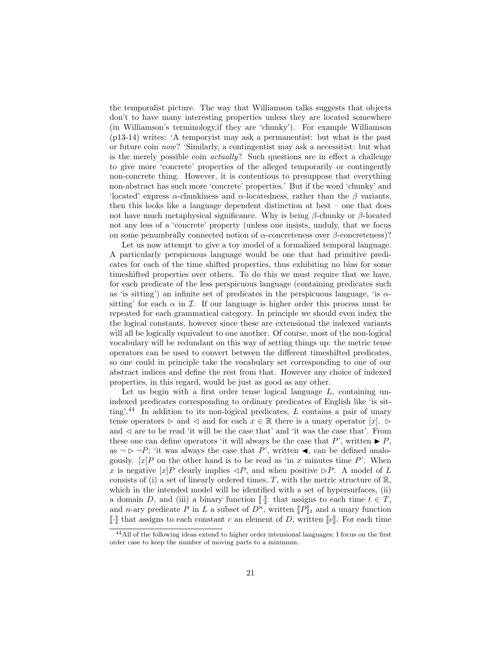the temporalist picture. The way that Williamson talks suggests that objects don't to have many interesting properties unless they are located somewhere (in Williamson's terminology,if they are 'chunky'). For example Williamson (p13-14) writes: 'A temporyist may ask a permanentist: but what is the past or future coin now? 'Similarly, a contingentist may ask a necessitist: but what is the merely possible coin actually? Such questions are in effect a challenge to give more 'concrete' properties of the alleged temporarily or contingently non-concrete thing. However, it is contentious to presuppose that everything non-abstract has such more 'concrete' properties.' But if the word 'chunky' and 'located' express  $\alpha$ -chunkiness and  $\alpha$ -locatedness, rather than the  $\beta$  variants, then this looks like a language dependent distinction at best – one that does not have much metaphysical significance. Why is being β-chunky or β-located not any less of a 'concrete' property (unless one insists, unduly, that we focus on some penumbrally connected notion of  $\alpha$ -concreteness over  $\beta$ -concreteness)?

Let us now attempt to give a toy model of a formalized temporal language. A particularly perspicuous language would be one that had primitive predicates for each of the time shifted properties, thus exhibiting no bias for some timeshifted properties over others. To do this we must require that we have, for each predicate of the less perspicuous language (containing predicates such as 'is sitting') an infinite set of predicates in the perspicuous language, 'is  $\alpha$ sitting' for each  $\alpha$  in  $\mathcal{I}$ . If our language is higher order this process must be repeated for each grammatical category. In principle we should even index the the logical constants, however since these are extensional the indexed variants will all be logically equivalent to one another. Of course, most of the non-logical vocabulary will be redundant on this way of setting things up: the metric tense operators can be used to convert between the different timeshifted predicates, so one could in principle take the vocabulary set corresponding to one of our abstract indices and define the rest from that. However any choice of indexed properties, in this regard, would be just as good as any other.

Let us begin with a first order tense logical language  $L$ , containing unindexed predicates corresponding to ordinary predicates of English like 'is sitting'.<sup>44</sup> In addition to its non-logical predicates,  $L$  contains a pair of unary tense operators  $\triangleright$  and  $\triangleleft$  and for each  $x \in \mathbb{R}$  there is a unary operator  $[x]$ .  $\triangleright$ and  $\triangleleft$  are to be read 'it will be the case that' and 'it was the case that'. From these one can define operators 'it will always be the case that P', written  $\blacktriangleright$  P, as  $\neg \triangleright \neg P$ ; 'it was always the case that P', written  $\blacktriangleleft$ , can be defined analogously.  $[x]P$  on the other hand is to be read as 'in x minutes time P'. When x is negative  $[x]P$  clearly implies  $\triangleleft P$ , and when positive  $\triangleright P$ . A model of L consists of (i) a set of linearly ordered times, T, with the metric structure of  $\mathbb{R}$ , which in the intended model will be identified with a set of hypersurfaces, (ii) a domain D, and (iii) a binary function  $\llbracket \cdot \rrbracket$  that assigns to each time  $t \in T$ , and n-ary predicate P in L a subset of  $D^n$ , written  $||P||_t$  and a unary function  $\llbracket \cdot \rrbracket$  that assigns to each constant c an element of D, written  $\llbracket c \rrbracket$ . For each time

<sup>44</sup>All of the following ideas extend to higher order intensional languages; I focus on the first order case to keep the number of moving parts to a minimum.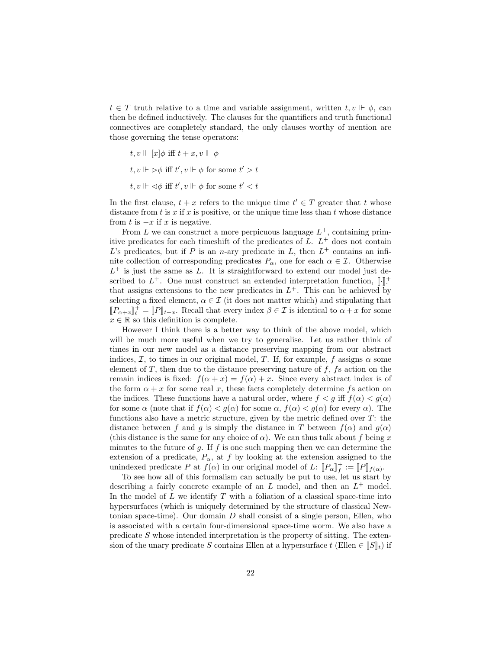$t \in T$  truth relative to a time and variable assignment, written  $t, v \Vdash \phi$ , can then be defined inductively. The clauses for the quantifiers and truth functional connectives are completely standard, the only clauses worthy of mention are those governing the tense operators:

$$
t, v \Vdash [x] \phi \text{ iff } t + x, v \Vdash \phi
$$
  

$$
t, v \Vdash \rhd \phi \text{ iff } t', v \Vdash \phi \text{ for some } t' > t
$$
  

$$
t, v \Vdash \lhd \phi \text{ iff } t', v \Vdash \phi \text{ for some } t' < t
$$

In the first clause,  $t + x$  refers to the unique time  $t' \in T$  greater that t whose distance from  $t$  is  $x$  if  $x$  is positive, or the unique time less than  $t$  whose distance from t is  $-x$  if x is negative.

From L we can construct a more perpicuous language  $L^+$ , containing primitive predicates for each timeshift of the predicates of  $L$ .  $L^+$  does not contain L's predicates, but if P is an n-ary predicate in L, then  $L^+$  contains an infinite collection of corresponding predicates  $P_{\alpha}$ , one for each  $\alpha \in \mathcal{I}$ . Otherwise  $L^+$  is just the same as L. It is straightforward to extend our model just described to  $L^+$ . One must construct an extended interpretation function,  $[\cdot]$ <sup>+</sup><br>that assigns extensions to the new productos in  $L^+$ . This can be achieved by that assigns extensions to the new predicates in  $L^+$ . This can be achieved by selecting a fixed element,  $\alpha \in \mathcal{I}$  (it does not matter which) and stipulating that  $[\![P_{\alpha+x}]\!]_t^+ = [\![P]\!]_{t+x}$ . Recall that every index  $\beta \in \mathcal{I}$  is identical to  $\alpha + x$  for some  $x \in \mathbb{R}$  so this definition is complete.  $x \in \mathbb{R}$  so this definition is complete.

However I think there is a better way to think of the above model, which will be much more useful when we try to generalise. Let us rather think of times in our new model as a distance preserving mapping from our abstract indices,  $\mathcal{I}$ , to times in our original model, T. If, for example, f assigns  $\alpha$  some element of  $T$ , then due to the distance preserving nature of  $f$ ,  $f$ s action on the remain indices is fixed:  $f(\alpha + x) = f(\alpha) + x$ . Since every abstract index is of the form  $\alpha + x$  for some real x, these facts completely determine fs action on the indices. These functions have a natural order, where  $f < g$  iff  $f(\alpha) < g(\alpha)$ for some  $\alpha$  (note that if  $f(\alpha) < g(\alpha)$  for some  $\alpha$ ,  $f(\alpha) < g(\alpha)$  for every  $\alpha$ ). The functions also have a metric structure, given by the metric defined over  $T$ : the distance between f and g is simply the distance in T between  $f(\alpha)$  and  $g(\alpha)$ (this distance is the same for any choice of  $\alpha$ ). We can thus talk about f being x minutes to the future of q. If f is one such mapping then we can determine the extension of a predicate,  $P_{\alpha}$ , at f by looking at the extension assigned to the unindexed predicate P at  $f(\alpha)$  in our original model of L:  $[[P_{\alpha}]^+_{\sigma} := [[P]]_{f(\alpha)}$ .<br>To see how all of this formalism can actually be put to use let us start b

To see how all of this formalism can actually be put to use, let us start by describing a fairly concrete example of an  $L$  model, and then an  $L^+$  model. In the model of  $L$  we identify  $T$  with a foliation of a classical space-time into hypersurfaces (which is uniquely determined by the structure of classical Newtonian space-time). Our domain  $D$  shall consist of a single person, Ellen, who is associated with a certain four-dimensional space-time worm. We also have a predicate S whose intended interpretation is the property of sitting. The extension of the unary predicate S contains Ellen at a hypersurface  $t$  (Ellen  $\in S_{\ell}$ ) if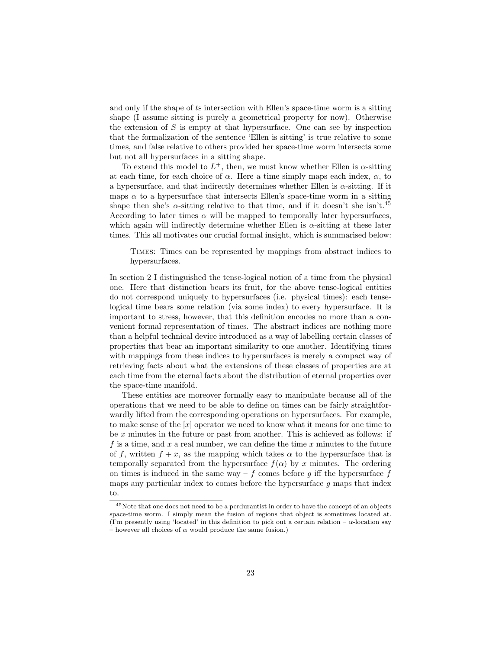and only if the shape of ts intersection with Ellen's space-time worm is a sitting shape (I assume sitting is purely a geometrical property for now). Otherwise the extension of  $S$  is empty at that hypersurface. One can see by inspection that the formalization of the sentence 'Ellen is sitting' is true relative to some times, and false relative to others provided her space-time worm intersects some but not all hypersurfaces in a sitting shape.

To extend this model to  $L^+$ , then, we must know whether Ellen is  $\alpha$ -sitting at each time, for each choice of  $\alpha$ . Here a time simply maps each index,  $\alpha$ , to a hypersurface, and that indirectly determines whether Ellen is  $\alpha$ -sitting. If it maps  $\alpha$  to a hypersurface that intersects Ellen's space-time worm in a sitting shape then she's  $\alpha$ -sitting relative to that time, and if it doesn't she isn't.<sup>45</sup> According to later times  $\alpha$  will be mapped to temporally later hypersurfaces, which again will indirectly determine whether Ellen is  $\alpha$ -sitting at these later times. This all motivates our crucial formal insight, which is summarised below:

Times: Times can be represented by mappings from abstract indices to hypersurfaces.

In section 2 I distinguished the tense-logical notion of a time from the physical one. Here that distinction bears its fruit, for the above tense-logical entities do not correspond uniquely to hypersurfaces (i.e. physical times): each tenselogical time bears some relation (via some index) to every hypersurface. It is important to stress, however, that this definition encodes no more than a convenient formal representation of times. The abstract indices are nothing more than a helpful technical device introduced as a way of labelling certain classes of properties that bear an important similarity to one another. Identifying times with mappings from these indices to hypersurfaces is merely a compact way of retrieving facts about what the extensions of these classes of properties are at each time from the eternal facts about the distribution of eternal properties over the space-time manifold.

These entities are moreover formally easy to manipulate because all of the operations that we need to be able to define on times can be fairly straightforwardly lifted from the corresponding operations on hypersurfaces. For example, to make sense of the [x] operator we need to know what it means for one time to be x minutes in the future or past from another. This is achieved as follows: if f is a time, and x a real number, we can define the time x minutes to the future of f, written  $f + x$ , as the mapping which takes  $\alpha$  to the hypersurface that is temporally separated from the hypersurface  $f(\alpha)$  by x minutes. The ordering on times is induced in the same way – f comes before g iff the hypersurface f maps any particular index to comes before the hypersurface  $g$  maps that index to.

<sup>45</sup>Note that one does not need to be a perdurantist in order to have the concept of an objects space-time worm. I simply mean the fusion of regions that object is sometimes located at. (I'm presently using 'located' in this definition to pick out a certain relation –  $\alpha$ -location say – however all choices of  $\alpha$  would produce the same fusion.)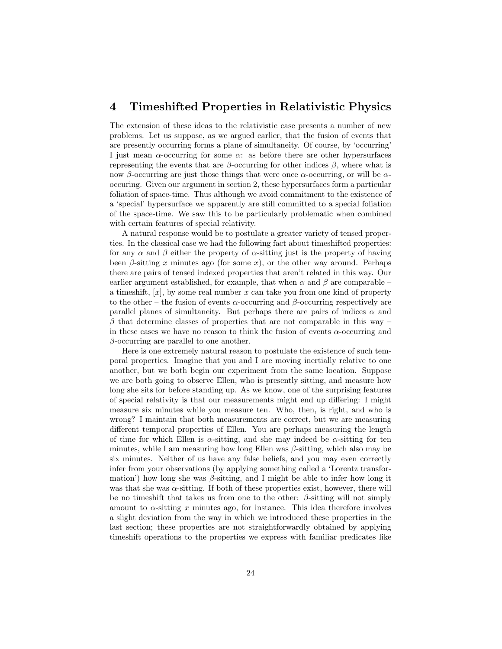#### 4 Timeshifted Properties in Relativistic Physics

The extension of these ideas to the relativistic case presents a number of new problems. Let us suppose, as we argued earlier, that the fusion of events that are presently occurring forms a plane of simultaneity. Of course, by 'occurring' I just mean  $\alpha$ -occurring for some  $\alpha$ : as before there are other hypersurfaces representing the events that are β-occurring for other indices β, where what is now β-occurring are just those things that were once  $\alpha$ -occurring, or will be  $\alpha$ occuring. Given our argument in section 2, these hypersurfaces form a particular foliation of space-time. Thus although we avoid commitment to the existence of a 'special' hypersurface we apparently are still committed to a special foliation of the space-time. We saw this to be particularly problematic when combined with certain features of special relativity.

A natural response would be to postulate a greater variety of tensed properties. In the classical case we had the following fact about timeshifted properties: for any  $\alpha$  and  $\beta$  either the property of  $\alpha$ -sitting just is the property of having been  $\beta$ -sitting x minutes ago (for some x), or the other way around. Perhaps there are pairs of tensed indexed properties that aren't related in this way. Our earlier argument established, for example, that when  $\alpha$  and  $\beta$  are comparable – a timeshift,  $[x]$ , by some real number x can take you from one kind of property to the other – the fusion of events  $\alpha$ -occurring and  $\beta$ -occurring respectively are parallel planes of simultaneity. But perhaps there are pairs of indices  $\alpha$  and  $\beta$  that determine classes of properties that are not comparable in this way – in these cases we have no reason to think the fusion of events  $\alpha$ -occurring and  $\beta$ -occurring are parallel to one another.

Here is one extremely natural reason to postulate the existence of such temporal properties. Imagine that you and I are moving inertially relative to one another, but we both begin our experiment from the same location. Suppose we are both going to observe Ellen, who is presently sitting, and measure how long she sits for before standing up. As we know, one of the surprising features of special relativity is that our measurements might end up differing: I might measure six minutes while you measure ten. Who, then, is right, and who is wrong? I maintain that both measurements are correct, but we are measuring different temporal properties of Ellen. You are perhaps measuring the length of time for which Ellen is  $\alpha$ -sitting, and she may indeed be  $\alpha$ -sitting for ten minutes, while I am measuring how long Ellen was  $\beta$ -sitting, which also may be six minutes. Neither of us have any false beliefs, and you may even correctly infer from your observations (by applying something called a 'Lorentz transformation') how long she was  $\beta$ -sitting, and I might be able to infer how long it was that she was  $\alpha$ -sitting. If both of these properties exist, however, there will be no timeshift that takes us from one to the other:  $\beta$ -sitting will not simply amount to  $\alpha$ -sitting x minutes ago, for instance. This idea therefore involves a slight deviation from the way in which we introduced these properties in the last section; these properties are not straightforwardly obtained by applying timeshift operations to the properties we express with familiar predicates like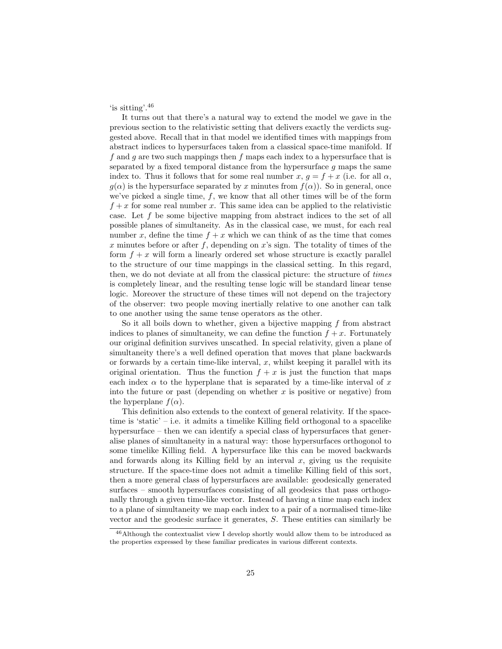'is sitting'.<sup>46</sup>

It turns out that there's a natural way to extend the model we gave in the previous section to the relativistic setting that delivers exactly the verdicts suggested above. Recall that in that model we identified times with mappings from abstract indices to hypersurfaces taken from a classical space-time manifold. If f and g are two such mappings then f maps each index to a hypersurface that is separated by a fixed temporal distance from the hypersurface  $g$  maps the same index to. Thus it follows that for some real number x,  $q = f + x$  (i.e. for all  $\alpha$ ,  $g(\alpha)$  is the hypersurface separated by x minutes from  $f(\alpha)$ ). So in general, once we've picked a single time,  $f$ , we know that all other times will be of the form  $f + x$  for some real number x. This same idea can be applied to the relativistic case. Let  $f$  be some bijective mapping from abstract indices to the set of all possible planes of simultaneity. As in the classical case, we must, for each real number x, define the time  $f + x$  which we can think of as the time that comes x minutes before or after f, depending on  $x$ 's sign. The totality of times of the form  $f + x$  will form a linearly ordered set whose structure is exactly parallel to the structure of our time mappings in the classical setting. In this regard, then, we do not deviate at all from the classical picture: the structure of times is completely linear, and the resulting tense logic will be standard linear tense logic. Moreover the structure of these times will not depend on the trajectory of the observer: two people moving inertially relative to one another can talk to one another using the same tense operators as the other.

So it all boils down to whether, given a bijective mapping  $f$  from abstract indices to planes of simultaneity, we can define the function  $f + x$ . Fortunately our original definition survives unscathed. In special relativity, given a plane of simultaneity there's a well defined operation that moves that plane backwards or forwards by a certain time-like interval,  $x$ , whilst keeping it parallel with its original orientation. Thus the function  $f + x$  is just the function that maps each index  $\alpha$  to the hyperplane that is separated by a time-like interval of x into the future or past (depending on whether  $x$  is positive or negative) from the hyperplane  $f(\alpha)$ .

This definition also extends to the context of general relativity. If the spacetime is 'static' – i.e. it admits a timelike Killing field orthogonal to a spacelike hypersurface – then we can identify a special class of hypersurfaces that generalise planes of simultaneity in a natural way: those hypersurfaces orthogonol to some timelike Killing field. A hypersurface like this can be moved backwards and forwards along its Killing field by an interval  $x$ , giving us the requisite structure. If the space-time does not admit a timelike Killing field of this sort, then a more general class of hypersurfaces are available: geodesically generated surfaces – smooth hypersurfaces consisting of all geodesics that pass orthogonally through a given time-like vector. Instead of having a time map each index to a plane of simultaneity we map each index to a pair of a normalised time-like vector and the geodesic surface it generates, S. These entities can similarly be

<sup>46</sup>Although the contextualist view I develop shortly would allow them to be introduced as the properties expressed by these familiar predicates in various different contexts.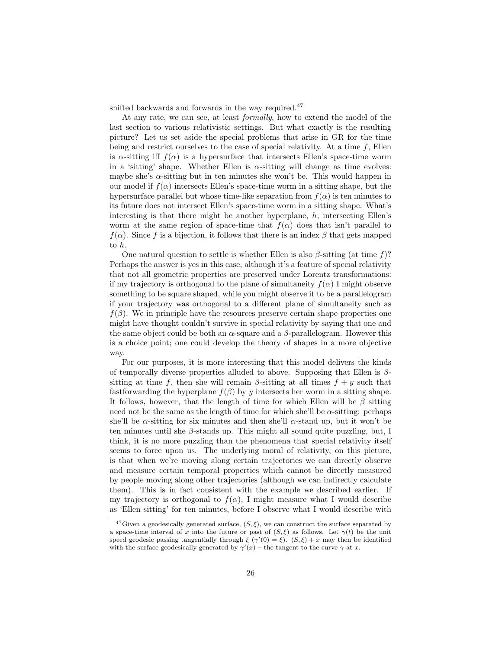shifted backwards and forwards in the way required.<sup>47</sup>

At any rate, we can see, at least formally, how to extend the model of the last section to various relativistic settings. But what exactly is the resulting picture? Let us set aside the special problems that arise in GR for the time being and restrict ourselves to the case of special relativity. At a time  $f$ , Ellen is  $\alpha$ -sitting iff  $f(\alpha)$  is a hypersurface that intersects Ellen's space-time worm in a 'sitting' shape. Whether Ellen is  $\alpha$ -sitting will change as time evolves: maybe she's  $\alpha$ -sitting but in ten minutes she won't be. This would happen in our model if  $f(\alpha)$  intersects Ellen's space-time worm in a sitting shape, but the hypersurface parallel but whose time-like separation from  $f(\alpha)$  is ten minutes to its future does not intersect Ellen's space-time worm in a sitting shape. What's interesting is that there might be another hyperplane, h, intersecting Ellen's worm at the same region of space-time that  $f(\alpha)$  does that isn't parallel to  $f(\alpha)$ . Since f is a bijection, it follows that there is an index  $\beta$  that gets mapped to h.

One natural question to settle is whether Ellen is also  $\beta$ -sitting (at time f)? Perhaps the answer is yes in this case, although it's a feature of special relativity that not all geometric properties are preserved under Lorentz transformations: if my trajectory is orthogonal to the plane of simultaneity  $f(\alpha)$  I might observe something to be square shaped, while you might observe it to be a parallelogram if your trajectory was orthogonal to a different plane of simultaneity such as  $f(\beta)$ . We in principle have the resources preserve certain shape properties one might have thought couldn't survive in special relativity by saying that one and the same object could be both an  $\alpha$ -square and a  $\beta$ -parallelogram. However this is a choice point; one could develop the theory of shapes in a more objective way.

For our purposes, it is more interesting that this model delivers the kinds of temporally diverse properties alluded to above. Supposing that Ellen is  $\beta$ sitting at time f, then she will remain  $\beta$ -sitting at all times  $f + y$  such that fastforwarding the hyperplane  $f(\beta)$  by y intersects her worm in a sitting shape. It follows, however, that the length of time for which Ellen will be  $\beta$  sitting need not be the same as the length of time for which she'll be  $\alpha$ -sitting: perhaps she'll be  $\alpha$ -sitting for six minutes and then she'll  $\alpha$ -stand up, but it won't be ten minutes until she  $\beta$ -stands up. This might all sound quite puzzling, but, I think, it is no more puzzling than the phenomena that special relativity itself seems to force upon us. The underlying moral of relativity, on this picture, is that when we're moving along certain trajectories we can directly observe and measure certain temporal properties which cannot be directly measured by people moving along other trajectories (although we can indirectly calculate them). This is in fact consistent with the example we described earlier. If my trajectory is orthogonal to  $f(\alpha)$ , I might measure what I would describe as 'Ellen sitting' for ten minutes, before I observe what I would describe with

 $47$ Given a geodesically generated surface,  $(S, \xi)$ , we can construct the surface separated by a space-time interval of x into the future or past of  $(S,\xi)$  as follows. Let  $\gamma(t)$  be the unit speed geodesic passing tangentially through  $\xi(\gamma'(0) = \xi)$ .  $(S, \xi) + x$  may then be identified with the surface geodesically generated by  $\gamma'(x)$  – the tangent to the curve  $\gamma$  at x.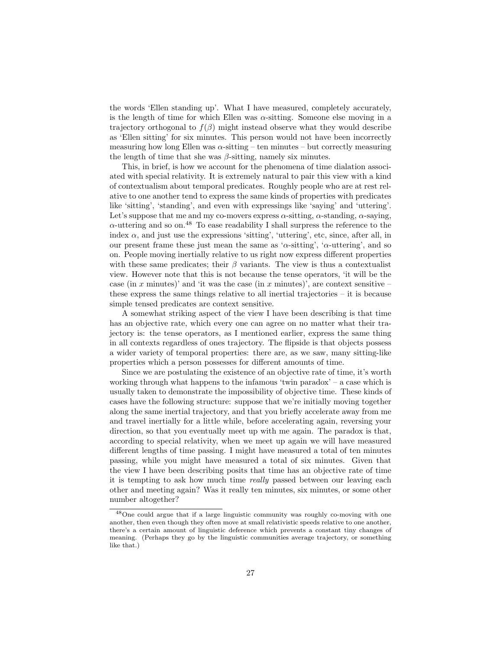the words 'Ellen standing up'. What I have measured, completely accurately, is the length of time for which Ellen was  $\alpha$ -sitting. Someone else moving in a trajectory orthogonal to  $f(\beta)$  might instead observe what they would describe as 'Ellen sitting' for six minutes. This person would not have been incorrectly measuring how long Ellen was  $\alpha$ -sitting – ten minutes – but correctly measuring the length of time that she was  $\beta$ -sitting, namely six minutes.

This, in brief, is how we account for the phenomena of time dialation associated with special relativity. It is extremely natural to pair this view with a kind of contextualism about temporal predicates. Roughly people who are at rest relative to one another tend to express the same kinds of properties with predicates like 'sitting', 'standing', and even with expressings like 'saying' and 'uttering'. Let's suppose that me and my co-movers express  $\alpha$ -sitting,  $\alpha$ -standing,  $\alpha$ -saying,  $\alpha$ -uttering and so on.<sup>48</sup> To ease readability I shall surpress the reference to the index  $\alpha$ , and just use the expressions 'sitting', 'uttering', etc, since, after all, in our present frame these just mean the same as ' $\alpha$ -sitting', ' $\alpha$ -uttering', and so on. People moving inertially relative to us right now express different properties with these same predicates; their  $\beta$  variants. The view is thus a contextualist view. However note that this is not because the tense operators, 'it will be the case (in x minutes)' and 'it was the case (in x minutes)', are context sensitive – these express the same things relative to all inertial trajectories – it is because simple tensed predicates are context sensitive.

A somewhat striking aspect of the view I have been describing is that time has an objective rate, which every one can agree on no matter what their trajectory is: the tense operators, as I mentioned earlier, express the same thing in all contexts regardless of ones trajectory. The flipside is that objects possess a wider variety of temporal properties: there are, as we saw, many sitting-like properties which a person possesses for different amounts of time.

Since we are postulating the existence of an objective rate of time, it's worth working through what happens to the infamous 'twin paradox' – a case which is usually taken to demonstrate the impossibility of objective time. These kinds of cases have the following structure: suppose that we're initially moving together along the same inertial trajectory, and that you briefly accelerate away from me and travel inertially for a little while, before accelerating again, reversing your direction, so that you eventually meet up with me again. The paradox is that, according to special relativity, when we meet up again we will have measured different lengths of time passing. I might have measured a total of ten minutes passing, while you might have measured a total of six minutes. Given that the view I have been describing posits that time has an objective rate of time it is tempting to ask how much time really passed between our leaving each other and meeting again? Was it really ten minutes, six minutes, or some other number altogether?

<sup>48</sup>One could argue that if a large linguistic community was roughly co-moving with one another, then even though they often move at small relativistic speeds relative to one another, there's a certain amount of linguistic deference which prevents a constant tiny changes of meaning. (Perhaps they go by the linguistic communities average trajectory, or something like that.)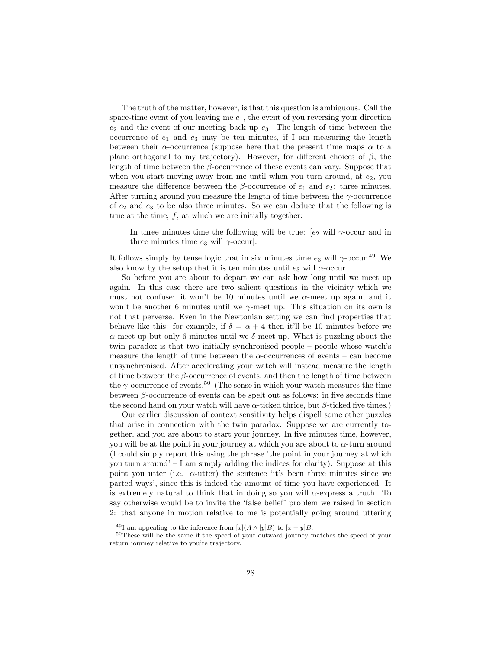The truth of the matter, however, is that this question is ambiguous. Call the space-time event of you leaving me  $e_1$ , the event of you reversing your direction  $e_2$  and the event of our meeting back up  $e_3$ . The length of time between the occurrence of  $e_1$  and  $e_3$  may be ten minutes, if I am measuring the length between their  $\alpha$ -occurrence (suppose here that the present time maps  $\alpha$  to a plane orthogonal to my trajectory). However, for different choices of  $\beta$ , the length of time between the  $\beta$ -occurrence of these events can vary. Suppose that when you start moving away from me until when you turn around, at  $e_2$ , you measure the difference between the  $\beta$ -occurrence of  $e_1$  and  $e_2$ : three minutes. After turning around you measure the length of time between the  $\gamma$ -occurrence of  $e_2$  and  $e_3$  to be also three minutes. So we can deduce that the following is true at the time,  $f$ , at which we are initially together:

In three minutes time the following will be true:  $[e_2$  will  $\gamma$ -occur and in three minutes time  $e_3$  will  $\gamma$ -occur].

It follows simply by tense logic that in six minutes time  $e_3$  will  $\gamma$ -occur.<sup>49</sup> We also know by the setup that it is ten minutes until  $e_3$  will  $\alpha$ -occur.

So before you are about to depart we can ask how long until we meet up again. In this case there are two salient questions in the vicinity which we must not confuse: it won't be 10 minutes until we  $\alpha$ -meet up again, and it won't be another 6 minutes until we  $\gamma$ -meet up. This situation on its own is not that perverse. Even in the Newtonian setting we can find properties that behave like this: for example, if  $\delta = \alpha + 4$  then it'll be 10 minutes before we  $\alpha$ -meet up but only 6 minutes until we  $\delta$ -meet up. What is puzzling about the twin paradox is that two initially synchronised people – people whose watch's measure the length of time between the  $\alpha$ -occurrences of events – can become unsynchronised. After accelerating your watch will instead measure the length of time between the  $\beta$ -occurrence of events, and then the length of time between the  $\gamma$ -occurrence of events.<sup>50</sup> (The sense in which your watch measures the time between  $\beta$ -occurrence of events can be spelt out as follows: in five seconds time the second hand on your watch will have  $\alpha$ -ticked thrice, but  $\beta$ -ticked five times.)

Our earlier discussion of context sensitivity helps dispell some other puzzles that arise in connection with the twin paradox. Suppose we are currently together, and you are about to start your journey. In five minutes time, however, you will be at the point in your journey at which you are about to  $\alpha$ -turn around (I could simply report this using the phrase 'the point in your journey at which you turn around' – I am simply adding the indices for clarity). Suppose at this point you utter (i.e.  $\alpha$ -utter) the sentence 'it's been three minutes since we parted ways', since this is indeed the amount of time you have experienced. It is extremely natural to think that in doing so you will  $\alpha$ -express a truth. To say otherwise would be to invite the 'false belief' problem we raised in section 2: that anyone in motion relative to me is potentially going around uttering

 $\overline{^{49}I}$  am appealing to the inference from  $[x](A \wedge [y]B)$  to  $[x + y]B$ .

<sup>50</sup>These will be the same if the speed of your outward journey matches the speed of your return journey relative to you're trajectory.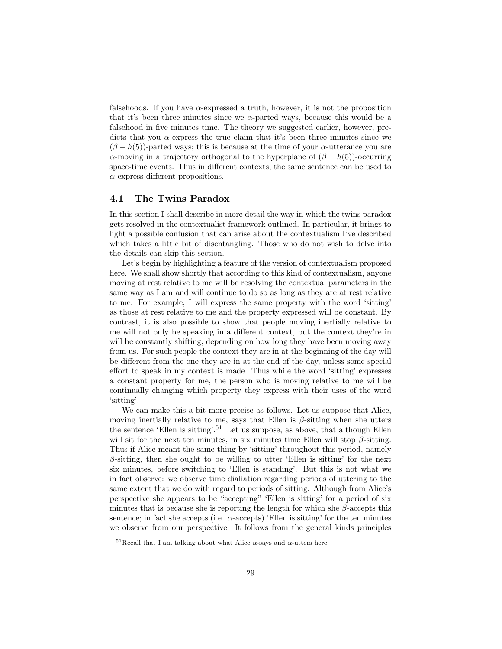falsehoods. If you have  $\alpha$ -expressed a truth, however, it is not the proposition that it's been three minutes since we  $\alpha$ -parted ways, because this would be a falsehood in five minutes time. The theory we suggested earlier, however, predicts that you  $\alpha$ -express the true claim that it's been three minutes since we  $(\beta - h(5))$ -parted ways; this is because at the time of your  $\alpha$ -utterance you are α-moving in a trajectory orthogonal to the hyperplane of  $(β - h(5))$ -occurring space-time events. Thus in different contexts, the same sentence can be used to  $\alpha$ -express different propositions.

#### 4.1 The Twins Paradox

In this section I shall describe in more detail the way in which the twins paradox gets resolved in the contextualist framework outlined. In particular, it brings to light a possible confusion that can arise about the contextualism I've described which takes a little bit of disentangling. Those who do not wish to delve into the details can skip this section.

Let's begin by highlighting a feature of the version of contextualism proposed here. We shall show shortly that according to this kind of contextualism, anyone moving at rest relative to me will be resolving the contextual parameters in the same way as I am and will continue to do so as long as they are at rest relative to me. For example, I will express the same property with the word 'sitting' as those at rest relative to me and the property expressed will be constant. By contrast, it is also possible to show that people moving inertially relative to me will not only be speaking in a different context, but the context they're in will be constantly shifting, depending on how long they have been moving away from us. For such people the context they are in at the beginning of the day will be different from the one they are in at the end of the day, unless some special effort to speak in my context is made. Thus while the word 'sitting' expresses a constant property for me, the person who is moving relative to me will be continually changing which property they express with their uses of the word 'sitting'.

We can make this a bit more precise as follows. Let us suppose that Alice, moving inertially relative to me, says that Ellen is  $\beta$ -sitting when she utters the sentence 'Ellen is sitting'.<sup>51</sup> Let us suppose, as above, that although Ellen will sit for the next ten minutes, in six minutes time Ellen will stop  $\beta$ -sitting. Thus if Alice meant the same thing by 'sitting' throughout this period, namely  $\beta$ -sitting, then she ought to be willing to utter 'Ellen is sitting' for the next six minutes, before switching to 'Ellen is standing'. But this is not what we in fact observe: we observe time dialiation regarding periods of uttering to the same extent that we do with regard to periods of sitting. Although from Alice's perspective she appears to be "accepting" 'Ellen is sitting' for a period of six minutes that is because she is reporting the length for which she  $\beta$ -accepts this sentence; in fact she accepts (i.e.  $\alpha$ -accepts) 'Ellen is sitting' for the ten minutes we observe from our perspective. It follows from the general kinds principles

<sup>&</sup>lt;sup>51</sup>Recall that I am talking about what Alice  $\alpha$ -says and  $\alpha$ -utters here.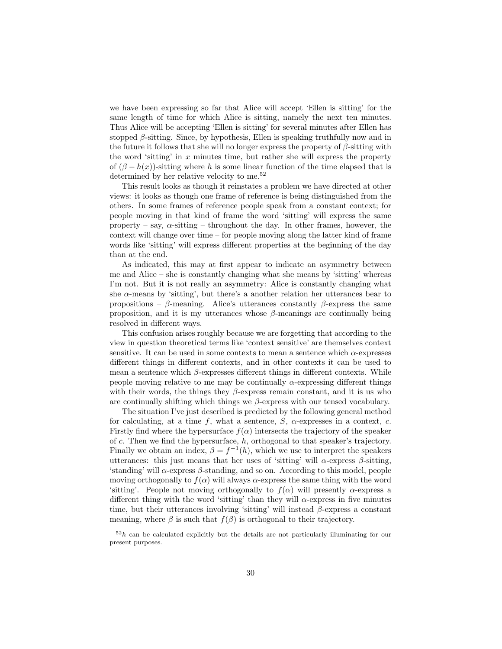we have been expressing so far that Alice will accept 'Ellen is sitting' for the same length of time for which Alice is sitting, namely the next ten minutes. Thus Alice will be accepting 'Ellen is sitting' for several minutes after Ellen has stopped  $\beta$ -sitting. Since, by hypothesis, Ellen is speaking truthfully now and in the future it follows that she will no longer express the property of  $\beta$ -sitting with the word 'sitting' in  $x$  minutes time, but rather she will express the property of  $(\beta - h(x))$ -sitting where h is some linear function of the time elapsed that is determined by her relative velocity to me.<sup>52</sup>

This result looks as though it reinstates a problem we have directed at other views: it looks as though one frame of reference is being distinguished from the others. In some frames of reference people speak from a constant context; for people moving in that kind of frame the word 'sitting' will express the same property – say,  $\alpha$ -sitting – throughout the day. In other frames, however, the  $context$  will change over time – for people moving along the latter kind of frame words like 'sitting' will express different properties at the beginning of the day than at the end.

As indicated, this may at first appear to indicate an asymmetry between me and Alice – she is constantly changing what she means by 'sitting' whereas I'm not. But it is not really an asymmetry: Alice is constantly changing what she  $\alpha$ -means by 'sitting', but there's a another relation her utterances bear to propositions – β-meaning. Alice's utterances constantly β-express the same proposition, and it is my utterances whose  $\beta$ -meanings are continually being resolved in different ways.

This confusion arises roughly because we are forgetting that according to the view in question theoretical terms like 'context sensitive' are themselves context sensitive. It can be used in some contexts to mean a sentence which  $\alpha$ -expresses different things in different contexts, and in other contexts it can be used to mean a sentence which  $\beta$ -expresses different things in different contexts. While people moving relative to me may be continually  $\alpha$ -expressing different things with their words, the things they  $\beta$ -express remain constant, and it is us who are continually shifting which things we  $\beta$ -express with our tensed vocabulary.

The situation I've just described is predicted by the following general method for calculating, at a time f, what a sentence, S,  $\alpha$ -expresses in a context, c. Firstly find where the hypersurface  $f(\alpha)$  intersects the trajectory of the speaker of c. Then we find the hypersurface,  $h$ , orthogonal to that speaker's trajectory. Finally we obtain an index,  $\beta = f^{-1}(h)$ , which we use to interpret the speakers utterances: this just means that her uses of 'sitting' will  $\alpha$ -express  $\beta$ -sitting, 'standing' will  $\alpha$ -express  $\beta$ -standing, and so on. According to this model, people moving orthogonally to  $f(\alpha)$  will always  $\alpha$ -express the same thing with the word 'sitting'. People not moving orthogonally to  $f(\alpha)$  will presently  $\alpha$ -express a different thing with the word 'sitting' than they will  $\alpha$ -express in five minutes time, but their utterances involving 'sitting' will instead  $\beta$ -express a constant meaning, where  $\beta$  is such that  $f(\beta)$  is orthogonal to their trajectory.

 $52h$  can be calculated explicitly but the details are not particularly illuminating for our present purposes.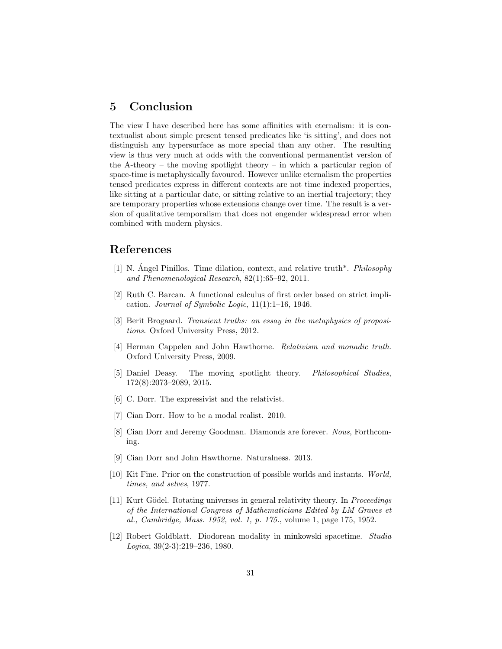### 5 Conclusion

The view I have described here has some affinities with eternalism: it is contextualist about simple present tensed predicates like 'is sitting', and does not distinguish any hypersurface as more special than any other. The resulting view is thus very much at odds with the conventional permanentist version of the A-theory – the moving spotlight theory – in which a particular region of space-time is metaphysically favoured. However unlike eternalism the properties tensed predicates express in different contexts are not time indexed properties, like sitting at a particular date, or sitting relative to an inertial trajectory; they are temporary properties whose extensions change over time. The result is a version of qualitative temporalism that does not engender widespread error when combined with modern physics.

#### References

- [1] N. Angel Pinillos. Time dilation, context, and relative truth\*.  $Philosophy$ and Phenomenological Research, 82(1):65–92, 2011.
- [2] Ruth C. Barcan. A functional calculus of first order based on strict implication. Journal of Symbolic Logic,  $11(1):1-16$ , 1946.
- [3] Berit Brogaard. Transient truths: an essay in the metaphysics of propositions. Oxford University Press, 2012.
- [4] Herman Cappelen and John Hawthorne. Relativism and monadic truth. Oxford University Press, 2009.
- [5] Daniel Deasy. The moving spotlight theory. Philosophical Studies, 172(8):2073–2089, 2015.
- [6] C. Dorr. The expressivist and the relativist.
- [7] Cian Dorr. How to be a modal realist. 2010.
- [8] Cian Dorr and Jeremy Goodman. Diamonds are forever. Nous, Forthcoming.
- [9] Cian Dorr and John Hawthorne. Naturalness. 2013.
- [10] Kit Fine. Prior on the construction of possible worlds and instants. World, times, and selves, 1977.
- [11] Kurt Gödel. Rotating universes in general relativity theory. In *Proceedings* of the International Congress of Mathematicians Edited by LM Graves et al., Cambridge, Mass. 1952, vol. 1, p. 175., volume 1, page 175, 1952.
- [12] Robert Goldblatt. Diodorean modality in minkowski spacetime. Studia Logica, 39(2-3):219–236, 1980.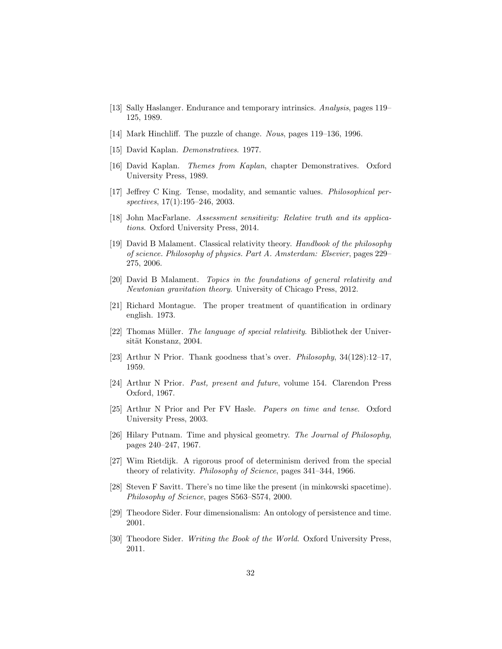- [13] Sally Haslanger. Endurance and temporary intrinsics. Analysis, pages 119– 125, 1989.
- [14] Mark Hinchliff. The puzzle of change. Nous, pages 119–136, 1996.
- [15] David Kaplan. Demonstratives. 1977.
- [16] David Kaplan. Themes from Kaplan, chapter Demonstratives. Oxford University Press, 1989.
- [17] Jeffrey C King. Tense, modality, and semantic values. Philosophical perspectives, 17(1):195–246, 2003.
- [18] John MacFarlane. Assessment sensitivity: Relative truth and its applications. Oxford University Press, 2014.
- [19] David B Malament. Classical relativity theory. Handbook of the philosophy of science. Philosophy of physics. Part A. Amsterdam: Elsevier, pages 229– 275, 2006.
- [20] David B Malament. Topics in the foundations of general relativity and Newtonian gravitation theory. University of Chicago Press, 2012.
- [21] Richard Montague. The proper treatment of quantification in ordinary english. 1973.
- [22] Thomas Müller. The language of special relativity. Bibliothek der Universität Konstanz, 2004.
- [23] Arthur N Prior. Thank goodness that's over. Philosophy, 34(128):12–17, 1959.
- [24] Arthur N Prior. Past, present and future, volume 154. Clarendon Press Oxford, 1967.
- [25] Arthur N Prior and Per FV Hasle. Papers on time and tense. Oxford University Press, 2003.
- [26] Hilary Putnam. Time and physical geometry. The Journal of Philosophy, pages 240–247, 1967.
- [27] Wim Rietdijk. A rigorous proof of determinism derived from the special theory of relativity. Philosophy of Science, pages 341–344, 1966.
- [28] Steven F Savitt. There's no time like the present (in minkowski spacetime). Philosophy of Science, pages S563–S574, 2000.
- [29] Theodore Sider. Four dimensionalism: An ontology of persistence and time. 2001.
- [30] Theodore Sider. Writing the Book of the World. Oxford University Press, 2011.